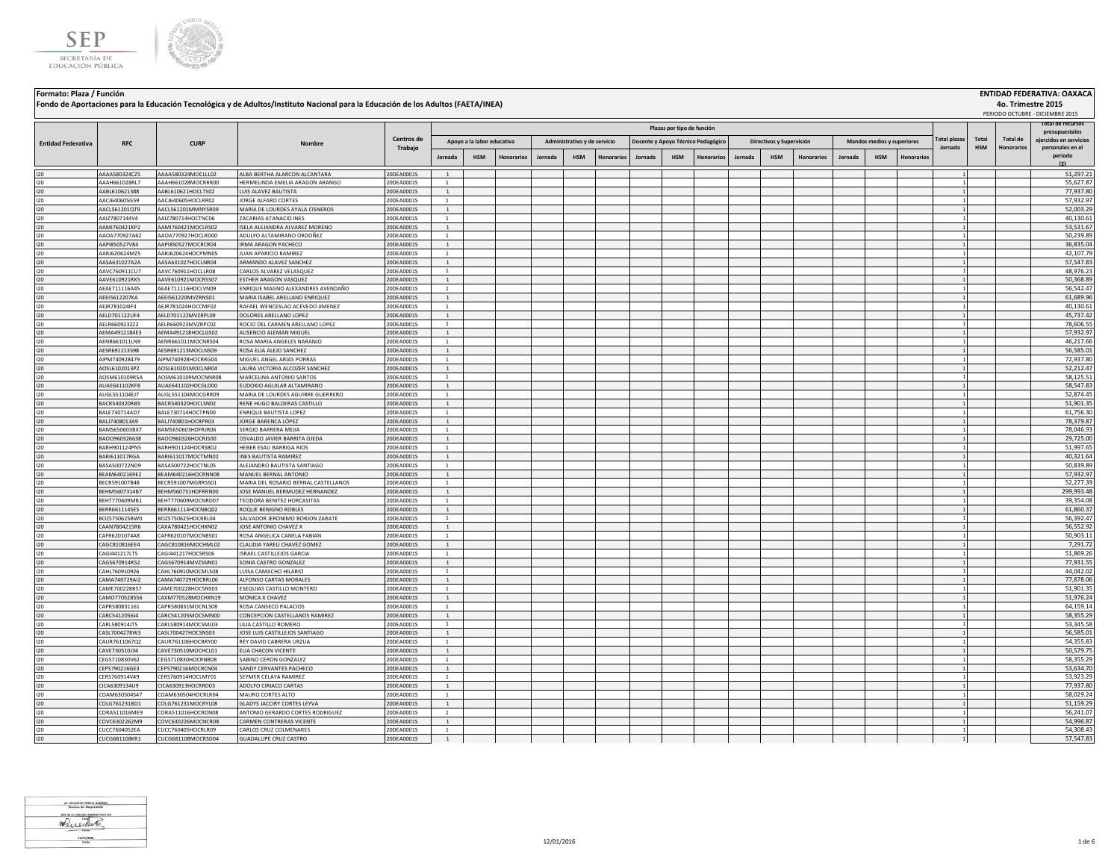



|                           |                                |                                          | Fondo de Aportaciones para la Educación Tecnológica y de Adultos/Instituto Nacional para la Educación de los Adultos (FAETA/INEA) |                          |                                |                            |                   |         |                              |            |         |                            |                                    |         |                          |                   |         |                            |                   |                     |            |          | 4o. Trimestre 2015<br>PERIODO OCTUBRE - DICIEMBRE 2015 |
|---------------------------|--------------------------------|------------------------------------------|-----------------------------------------------------------------------------------------------------------------------------------|--------------------------|--------------------------------|----------------------------|-------------------|---------|------------------------------|------------|---------|----------------------------|------------------------------------|---------|--------------------------|-------------------|---------|----------------------------|-------------------|---------------------|------------|----------|--------------------------------------------------------|
|                           |                                |                                          |                                                                                                                                   |                          |                                |                            |                   |         |                              |            |         | Plazas por tipo de función |                                    |         |                          |                   |         |                            |                   |                     |            |          | otal de recursos                                       |
| <b>Entidad Federativa</b> | <b>RFC</b>                     | <b>CURP</b>                              | Nombre                                                                                                                            | Centros de               |                                | Apoyo a la labor educativa |                   |         | Administrativo y de servicio |            |         |                            | Docente y Apoyo Técnico Pedagógico |         | Directivos y Supervisión |                   |         | Mandos medios y superiores |                   | <b>Total plazas</b> | Total      | Total de | presupuestales<br>ejercidos en servicios               |
|                           |                                |                                          |                                                                                                                                   | Trabajo                  | Jornada                        | <b>HSM</b>                 | <b>Honorarios</b> | Jornada | <b>HSM</b>                   | Honorarios | Jornada | <b>HSM</b>                 | <b>Honorarios</b>                  | Jornada | <b>HSM</b>               | <b>Honorarios</b> | Jornada | <b>HSM</b>                 | <b>Honorarios</b> | Jornada             | <b>HSM</b> |          | personales en el<br>periodo<br>(2)                     |
| 120                       | AAAA580324CZ5                  | AAAA580324MOCLLL02                       | ALBA BERTHA ALARCON ALCANTARA                                                                                                     | 20DEA0001S               | $\overline{1}$                 |                            |                   |         |                              |            |         |                            |                                    |         |                          |                   |         |                            |                   |                     |            |          | 51,297.21                                              |
| 120                       | AAAH661028RL7                  | AAAH661028MOCRRR00                       | HERMELINDA EMELIA ARAGON ARANGO                                                                                                   | 20DEA0001S               | <sup>1</sup>                   |                            |                   |         |                              |            |         |                            |                                    |         |                          |                   |         |                            |                   |                     |            |          | 55.627.87                                              |
| 120                       | AABL610621388                  | AABL610621HOCLTS02                       | LUIS ALAVEZ BAUTISTA                                                                                                              | 20DEA0001S               | <sup>1</sup>                   |                            |                   |         |                              |            |         |                            |                                    |         |                          |                   |         |                            |                   |                     |            |          | 77,937.80                                              |
| 120                       | AACJ640605G59                  | AACI640605HOCLBR02                       | ORGE ALFARO CORTES                                                                                                                | 20DEA0001S               | $\mathbf{1}$                   |                            |                   |         |                              |            |         |                            |                                    |         |                          |                   |         |                            |                   |                     |            |          | 57,932.97                                              |
| 120                       | AACL561201QT9                  | AACL561201MMNYSR09                       | MARIA DE LOURDES AYALA CISNEROS                                                                                                   | 20DEA0001S               | <sup>1</sup>                   |                            |                   |         |                              |            |         |                            |                                    |         |                          |                   |         |                            |                   |                     |            |          | 52,003.29                                              |
| 120                       | AAIZ7807144V4                  | AAIZ780714HOCTNC06                       | ZACARIAS ATANACIO INES                                                                                                            | 20DEA0001S               | <sup>1</sup>                   |                            |                   |         |                              |            |         |                            |                                    |         |                          |                   |         |                            |                   |                     |            |          | 40,130.61                                              |
| 120                       | AAMI760421KP2                  | AAMI760421MOCLRS02                       | ISELA ALEJANDRA ALVAREZ MORENO                                                                                                    | 20DEA0001S               | <sup>1</sup>                   |                            |                   |         |                              |            |         |                            |                                    |         |                          |                   |         |                            |                   |                     |            |          | 53,531.67                                              |
| 120                       | AAOA770927A62                  | AAOA770927HOCLRD00                       | ADULFO ALTAMIRANO ORDOÑEZ                                                                                                         | 20DEA0001S               | <sup>1</sup><br>$\overline{1}$ |                            |                   |         |                              |            |         |                            |                                    |         |                          |                   |         |                            |                   |                     |            |          | 50,239.89                                              |
| 120<br>120                | AAPI850527V84<br>AARJ620624MZ5 | AAPI850527MOCRCR04<br>AARJ620624HOCPMN05 | IRMA ARAGON PACHECO<br>JUAN APARICIO RAMIREZ                                                                                      | 20DEA0001S<br>20DEA0001S | $\overline{1}$                 |                            |                   |         |                              |            |         |                            |                                    |         |                          |                   |         |                            |                   |                     |            |          | 36,835.04<br>42,107.79                                 |
| 120                       | AASA631027A2A                  | AASA631027HOCLNR04                       | ARMANDO ALAVEZ SANCHEZ                                                                                                            | 20DEA0001S               | $\overline{1}$                 |                            |                   |         |                              |            |         |                            |                                    |         |                          |                   |         |                            |                   |                     |            |          | 57,547.83                                              |
| 120                       | AAVC760911CU7                  | AAVC760911HOCLLR08                       | CARLOS ALVAREZ VELASQUEZ                                                                                                          | 20DEA0001S               | <sup>1</sup>                   |                            |                   |         |                              |            |         |                            |                                    |         |                          |                   |         |                            |                   |                     |            |          | 48,976.23                                              |
| 120                       | AAVE610921RK5                  | AAVE610921MOCRSS07                       | <b>ESTHER ARAGON VASQUEZ</b>                                                                                                      | 20DEA0001S               | $\overline{1}$                 |                            |                   |         |                              |            |         |                            |                                    |         |                          |                   |         |                            |                   |                     |            |          | 50,368.89                                              |
| 120                       | AEAE711116A45                  | AEAE711116HOCLVN09                       | ENRIQUE MAGNO ALEXANDRES AVENDAÑO                                                                                                 | 20DEA0001S               | $\overline{1}$                 |                            |                   |         |                              |            |         |                            |                                    |         |                          |                   |         |                            |                   |                     |            |          | 56,542.47                                              |
| 120                       | AEEI5612207KA                  | AEEI561220MVZRNS01                       | MARIA ISABEL ARELLANO ENRIQUEZ                                                                                                    | 20DEA0001S               | <sup>1</sup>                   |                            |                   |         |                              |            |         |                            |                                    |         |                          |                   |         |                            |                   |                     |            |          | 61,689.96                                              |
| 120                       | AEJR781024IF3                  | AEJR781024HOCCMF02                       | RAFAEL WENCESLAO ACEVEDO JIMENEZ                                                                                                  | 20DEA0001S               | $\overline{1}$                 |                            |                   |         |                              |            |         |                            |                                    |         |                          |                   |         |                            |                   |                     |            |          | 40,130.61                                              |
| 120                       | AELD701122UF4                  | AELD701122MVZRPL09                       | DOLORES ARELLANO LOPEZ                                                                                                            | 20DEA0001S               | $\mathbf{1}$                   |                            |                   |         |                              |            |         |                            |                                    |         |                          |                   |         |                            |                   |                     |            |          | 45,737.42                                              |
| 120                       | AELR6609232Z2                  | AELR660923MVZRPC02                       | ROCIO DEL CARMEN ARELLANO LOPEZ                                                                                                   | 20DEA0001S               | $\mathbf{1}$                   |                            |                   |         |                              |            |         |                            |                                    |         |                          |                   |         |                            |                   |                     |            |          | 78.606.55                                              |
| 120                       | AEMA4912184E3                  | AEMA491218HOCLGS02                       | AUSENCIO ALEMAN MIGUEL                                                                                                            | 20DEA0001S               | <sup>1</sup>                   |                            |                   |         |                              |            |         |                            |                                    |         |                          |                   |         |                            |                   |                     |            |          | 57,932.97                                              |
| 120                       | AFNR661011LN9                  | AENR661011MOCNRS04                       | ROSA MARIA ANGELES NARANIO                                                                                                        | 20DEA0001S               | <sup>1</sup>                   |                            |                   |         |                              |            |         |                            |                                    |         |                          |                   |         |                            |                   |                     |            |          | 46,217.66                                              |
| 120                       | AESR691213598                  | AFSR691213MOCLNS09                       | ROSA FIJA ALEJO SANCHEZ                                                                                                           | 20DEA0001S               | <sup>1</sup>                   |                            |                   |         |                              |            |         |                            |                                    |         |                          |                   |         |                            |                   |                     |            |          | 56,585.01                                              |
| 120                       | AIPM740928479                  | AIPM740928HOCRRG04                       | MIGUEL ANGEL ARIAS PORRAS                                                                                                         | 20DEA0001S               | $\mathbf{1}$                   |                            |                   |         |                              |            |         |                            |                                    |         |                          |                   |         |                            |                   |                     |            |          | 72,937.80                                              |
| 120<br>120                | AOSL6102013P2<br>AOSM610109R5A | AOSL610201MOCLNR04<br>AOSM610109MOCNNR08 | LAURA VICTORIA ALCOZER SANCHEZ<br>MARCELINA ANTONIO SANTOS                                                                        | 20DEA0001S<br>20DEA0001S | $\mathbf{1}$<br>$\mathbf{1}$   |                            |                   |         |                              |            |         |                            |                                    |         |                          |                   |         |                            |                   |                     |            |          | 52,212.47<br>58,125.51                                 |
| 120                       | AUAE641102KF8                  | AUAE641102HOCGLD00                       | EUDOXIO AGUILAR ALTAMIRANO                                                                                                        | 20DEA0001S               | <sup>1</sup>                   |                            |                   |         |                              |            |         |                            |                                    |         |                          |                   |         |                            |                   |                     |            |          | 58,547.83                                              |
| 120                       | AUGL551104EJ7                  | AUGL551104MOCGRR09                       | MARIA DE LOURDES AGUIRRE GUERRERO                                                                                                 | 20DEA0001S               | <sup>1</sup>                   |                            |                   |         |                              |            |         |                            |                                    |         |                          |                   |         |                            |                   |                     |            |          | 52,874.45                                              |
| 120                       | BACR540320RB5                  | BACR540320HOCLSN02                       | RENE HUGO BALDERAS CASTILLO                                                                                                       | 20DEA0001S               | <sup>1</sup>                   |                            |                   |         |                              |            |         |                            |                                    |         |                          |                   |         |                            |                   |                     |            |          | 51,901.35                                              |
| 120                       | BALE730714AD7                  | BALE730714HOCTPN00                       | ENRIQUE BAUTISTA LOPEZ                                                                                                            | 20DEA0001S               | $\mathbf{1}$                   |                            |                   |         |                              |            |         |                            |                                    |         |                          |                   |         |                            |                   |                     |            |          | 61,756.30                                              |
| 120                       | BALJ7408013A9                  | BALJ740801HOCRPR03                       | JORGE BARENCA LÓPEZ                                                                                                               | 20DEA0001S               | $\overline{1}$                 |                            |                   |         |                              |            |         |                            |                                    |         |                          |                   |         |                            |                   |                     |            |          | 78,379.87                                              |
| 120                       | BAMS650603BX7                  | BAMS650603HDERIR06                       | SERGIO BARRERA MEIIA                                                                                                              | 20DEA0001S               | $\mathbf{1}$                   |                            |                   |         |                              |            |         |                            |                                    |         |                          |                   |         |                            |                   |                     |            |          | 78,046.93                                              |
| 120                       | BAOO960326638                  | BAO0960326HOCRJS00                       | OSVALDO JAVIER BARRITA OJEDA                                                                                                      | 20DEA0001S               | $\overline{1}$                 |                            |                   |         |                              |            |         |                            |                                    |         |                          |                   |         |                            |                   |                     |            |          | 29,725.00                                              |
| 120                       | BARH901124PN5                  | BARH901124HOCRSB02                       | HEBER ESAU BARRIGA RIOS                                                                                                           | 20DEA0001S               | $\mathbf{1}$                   |                            |                   |         |                              |            |         |                            |                                    |         |                          |                   |         |                            |                   |                     |            |          | 51,997.65                                              |
| 120                       | BARI611017RGA                  | BARI611017MOCTMN02                       | INES BAUTISTA RAMIREZ                                                                                                             | 20DEA0001S               | $\overline{1}$                 |                            |                   |         |                              |            |         |                            |                                    |         |                          |                   |         |                            |                   |                     |            |          | 40,321.64                                              |
| 120                       | BASA500722ND9                  | BASA500722HOCTNL05                       | ALEJANDRO BAUTISTA SANTIAGO                                                                                                       | 20DEA0001S               | $\mathbf{1}$                   |                            |                   |         |                              |            |         |                            |                                    |         |                          |                   |         |                            |                   |                     |            |          | 50,839.89                                              |
| 120                       | BEAM6402169E2                  | BEAM640216HOCRNN08                       | MANUEL BERNAL ANTONIO                                                                                                             | 20DEA0001S               | $\mathbf{1}$                   |                            |                   |         |                              |            |         |                            |                                    |         |                          |                   |         |                            |                   |                     |            |          | 57,932.97                                              |
| 120                       | BECR591007B48                  | BECR591007MGRRSS01                       | MARIA DEL ROSARIO BERNAL CASTELLANOS                                                                                              | 20DEA0001S               | $\mathbf{1}$                   |                            |                   |         |                              |            |         |                            |                                    |         |                          |                   |         |                            |                   |                     |            |          | 52,277.39                                              |
| 120<br>120                | BEHM5607314B7<br>BEHT770609MB1 | BEHM560731HDFRRN00<br>BEHT770609MOCNRD07 | JOSE MANUEL BERMUDEZ HERNANDEZ<br>TEODORA BENITEZ HORCASITAS                                                                      | 20DEA0001S<br>20DEA0001S | <sup>1</sup><br>-1             |                            |                   |         |                              |            |         |                            |                                    |         |                          |                   |         |                            |                   |                     |            |          | 299,993.48<br>39,354.08                                |
| 120                       | BERR661114SE5                  | BERR661114HOCNBO02                       | ROOUE BENIGNO ROBLES                                                                                                              | 20DEA0001S               | <sup>1</sup>                   |                            |                   |         |                              |            |         |                            |                                    |         |                          |                   |         |                            |                   |                     |            |          | 61,860.37                                              |
| 120                       | BOZS750625BW0                  | BOZS750625HOCRRL04                       | SALVADOR JERONIMO BORJON ZARATE                                                                                                   | 20DEA0001S               | <sup>1</sup>                   |                            |                   |         |                              |            |         |                            |                                    |         |                          |                   |         |                            |                   |                     |            |          | 56,392.47                                              |
| 120                       | CAAN7804215R6                  | CAXA780421HOCHXN02                       | JOSE ANTONIO CHAVEZ X                                                                                                             | 20DEA0001S               | <sup>1</sup>                   |                            |                   |         |                              |            |         |                            |                                    |         |                          |                   |         |                            |                   |                     |            |          | 56,552.92                                              |
| 120                       | CAFR6201074A8                  | CAFR620107MOCNBS01                       | ROSA ANGELICA CANELA FABIAN                                                                                                       | 20DEA0001S               | <sup>1</sup>                   |                            |                   |         |                              |            |         |                            |                                    |         |                          |                   |         |                            |                   |                     |            |          | 50,903.11                                              |
| 120                       | CAGC810816EE4                  | CAGC810816MOCHML02                       | CLAUDIA YARELI CHAVEZ GOMEZ                                                                                                       | 20DEA0001S               | <sup>1</sup>                   |                            |                   |         |                              |            |         |                            |                                    |         |                          |                   |         |                            |                   |                     |            |          | 7,291.72                                               |
| 120                       | CAGI441217LT5                  | CAGI441217HOCSRS06                       | <b>ISRAEL CASTILLEJOS GARCIA</b>                                                                                                  | 20DEA0001S               | <sup>1</sup>                   |                            |                   |         |                              |            |         |                            |                                    |         |                          |                   |         |                            |                   |                     |            |          | 51,869.26                                              |
| 120                       | CAGS670914R52                  | CAGS670914MVZSNN01                       | SONIA CASTRO GONZALEZ                                                                                                             | 20DEA0001S               | $\overline{1}$                 |                            |                   |         |                              |            |         |                            |                                    |         |                          |                   |         |                            |                   |                     |            |          | 77,931.55                                              |
| 120                       | CAHL760910926                  | CAHL760910MOCMLS08                       | LUISA CAMACHO HILARIO                                                                                                             | 20DEA0001S               | $\mathbf{1}$                   |                            |                   |         |                              |            |         |                            |                                    |         |                          |                   |         |                            |                   |                     |            |          | 44,042.02                                              |
| 120                       | CAMA740729AI2                  | CAMA740729HOCRRL06                       | ALFONSO CARTAS MORALES                                                                                                            | 20DEA0001S               | $\overline{1}$                 |                            |                   |         |                              |            |         |                            |                                    |         |                          |                   |         |                            |                   |                     |            |          | 77,878.06                                              |
| 120                       | CAME700228B57                  | CAME700228HOCSNS03                       | ESEQUIAS CASTILLO MONTERO                                                                                                         | 20DEA0001S               | $\mathbf{1}$                   |                            |                   |         |                              |            |         |                            |                                    |         |                          |                   |         |                            |                   |                     |            |          | 51,901.35                                              |
| 120                       | CAMO770528556                  | CAXM770528MOCHXN19                       | MONICA X CHAVEZ                                                                                                                   | 20DEA0001S               | $\mathbf{1}$                   |                            |                   |         |                              |            |         |                            |                                    |         |                          |                   |         |                            |                   |                     |            |          | 51,976.24                                              |
| 120                       | CAPR580831161                  | CAPR580831MOCNLS08                       | ROSA CANSECO PALACIOS                                                                                                             | 20DEA0001S               | $\mathbf{1}$                   |                            |                   |         |                              |            |         |                            |                                    |         |                          |                   |         |                            |                   |                     |            |          | 64,159.14                                              |
| 120                       | CARC5412056J4                  | CARC541205MOCSMN00                       | CONCEPCION CASTELLANOS RAMIREZ                                                                                                    | 20DEA0001S               | <sup>1</sup>                   |                            |                   |         |                              |            |         |                            |                                    |         |                          |                   |         |                            |                   |                     |            |          | 58,355.29                                              |
| 120<br>120                | CARL580914JT5<br>CASL7004278W3 | CARL580914MOCSML03<br>CASL700427HOCSNS03 | LILIA CASTILLO ROMERO                                                                                                             | 20DEA0001S<br>20DEA0001S | <sup>1</sup><br><sup>1</sup>   |                            |                   |         |                              |            |         |                            |                                    |         |                          |                   |         |                            |                   |                     |            |          | 53,345.58<br>56,585.01                                 |
| 120                       | CAUR7611067Q2                  | CAUR761106HOCBRY00                       | JOSE LUIS CASTILLEJOS SANTIAGO<br>REY DAVID CABRERA URZUA                                                                         | 20DEA0001S               | <sup>1</sup>                   |                            |                   |         |                              |            |         |                            |                                    |         |                          |                   |         |                            |                   |                     |            |          | 54,355.83                                              |
| 120                       | CAVE730510J34                  | CAVE730510MOCHCL01                       | ELIA CHACON VICENTE                                                                                                               | ODEA0001S                | $\overline{1}$                 |                            |                   |         |                              |            |         |                            |                                    |         |                          |                   |         |                            |                   |                     |            |          | 50,579.75                                              |
| 120                       | CEGS710830V62                  | CEGS710830HOCRNB08                       | SABINO CERON GONZALEZ                                                                                                             | 20DEA0001S               | 1                              |                            |                   |         |                              |            |         |                            |                                    |         |                          |                   |         |                            |                   |                     |            |          | 58,355.29                                              |
| 120                       | CEPS790216GE3                  | CEPS790216MOCRCN04                       | SANDY CERVANTES PACHECO                                                                                                           | 20DEA0001S               | <sup>1</sup>                   |                            |                   |         |                              |            |         |                            |                                    |         |                          |                   |         |                            |                   |                     |            |          | 53,634.70                                              |
| 120                       | CERS760914V49                  | CERS760914HOCLMY01                       | SEYMER CELAYA RAMIREZ                                                                                                             | 20DEA0001S               | <sup>1</sup>                   |                            |                   |         |                              |            |         |                            |                                    |         |                          |                   |         |                            |                   |                     |            |          | 53,923.29                                              |
| 120                       | CICA6309134U9                  | CICA630913HOCRRD03                       | ADOLFO CIRIACO CARTAS                                                                                                             | 20DEA0001S               | <sup>1</sup>                   |                            |                   |         |                              |            |         |                            |                                    |         |                          |                   |         |                            |                   |                     |            |          | 77,937.80                                              |
| 120                       | COAM630504S47                  | COAM630504HOCRLR04                       | MAURO CORTES ALTO                                                                                                                 | 20DEA0001S               | <sup>1</sup>                   |                            |                   |         |                              |            |         |                            |                                    |         |                          |                   |         |                            |                   |                     |            |          | 58,029.24                                              |
| 120                       | COLG761231BD1                  | COLG761231MOCRYL08                       | GLADYS JACCIRY CORTES LEYVA                                                                                                       | 20DEA0001S               | $\mathbf{1}$                   |                            |                   |         |                              |            |         |                            |                                    |         |                          |                   |         |                            |                   |                     |            |          | 51,159.29                                              |
| 120                       | CORA511016ME9                  | CORA511016HOCRDN08                       | ANTONIO GERARDO CORTES RODRIGUEZ                                                                                                  | 20DEA0001S               | $\mathbf{1}$                   |                            |                   |         |                              |            |         |                            |                                    |         |                          |                   |         |                            |                   |                     |            |          | 56,241.07                                              |
| 120                       | COVC6302262M9                  | COVC630226MOCNCR08                       | CARMEN CONTRERAS VICENTE                                                                                                          | 20DEA0001S               | <sup>1</sup>                   |                            |                   |         |                              |            |         |                            |                                    |         |                          |                   |         |                            |                   |                     |            |          | 54,996.87                                              |
| 120                       | CUCC7604052EA                  | CUCC760405HOCRLR09                       | CARLOS CRUZ COLMENARES                                                                                                            | 20DEA0001S               | $\mathbf{1}$                   |                            |                   |         |                              |            |         |                            |                                    |         |                          |                   |         |                            |                   |                     |            |          | 54,308.43                                              |
| 120                       | CUCG681108KR1                  | CUCG681108MOCRSD04                       | <b>GUADALUPE CRUZ CASTRO</b>                                                                                                      | 20DEA0001S               | $\mathbf{1}$                   |                            |                   |         |                              |            |         |                            |                                    |         |                          |                   |         |                            |                   |                     |            |          | 57,547.83                                              |

$$
\begin{array}{l}\n\text{or } \text{nonline in the number of images} \\
\hline\n\text{nonline in the number of images} \\
\text{and } \text{on the number of images} \\
\text{with } \text{nonline of } \\
\text{nonline of } \\
\text{nonline of } \\
\text{nonline of } \\
\text{nonline of } \\
\text{nonline of } \\
\text{nonline of } \\
\text{nonline of } \\
\text{nonline of } \\
\text{nonline of } \\
\text{nonline of } \\
\text{nonline of } \\
\text{nonline of } \\
\text{nonline of } \\
\text{nonline of } \\
\text{nonline of } \\
\text{nonline of } \\
\text{nonline of } \\
\text{nonline of } \\
\text{nonline of } \\
\text{nonline of } \\
\text{nonline of } \\
\text{nonline of } \\
\text{nonline of } \\
\text{nonline of } \\
\text{nonline of } \\
\text{nonline of } \\
\text{nonline of } \\
\text{nonline of } \\
\text{nonline of } \\
\text{nonline of } \\
\text{nonline of } \\
\text{nonline of } \\
\text{nonline of } \\
\text{nonline of } \\
\text{nonline of } \\
\text{nonline of } \\
\text{nonline of } \\
\text{nonline of } \\
\text{nonline of } \\
\text{nonline of } \\
\text{nonline of } \\
\text{nonline of } \\
\text{nonline of } \\
\text{nonline of } \\
\text{nonline of } \\
\text{nonline of } \\
\text{nonline of } \\
\text{nonline of } \\
\text{nonline of } \\
\text{nonline of } \\
\text{nonline of } \\
\text{nonline of } \\
\text{nonline of } \\
\text{nonline of } \\
\text{nonline of } \\
\text{nonline of } \\
\text{nonline of } \\
\text{nonline of } \\
\text{nonline of } \\
\text{nonline of } \\
\text{nonline of } \\
\text{nonline of } \\
\text{nonline of } \\
\text{nonline of } \\
\text{nonline of } \\
\text{nonline of } \\
\text{nonline of } \\
\text{nonline of } \\
\text{nonline of } \\
\text{nonline of } \\
\text{nonline of } \\
\text{nonline of } \\
\text{nonline of } \\
\text{nonline of } \\
\text{nonline of } \\
\text{nonline of } \\
\text{nonline of } \\
\text{nonline of } \\
\text{nonline of } \\
\text{nonline of } \\
\text{nonline of } \\
\text{nonline of } \\
\text{nonline of } \\
\text{nonline of } \\
\text{nonline of } \\
\text{nonline of } \\
\text{
$$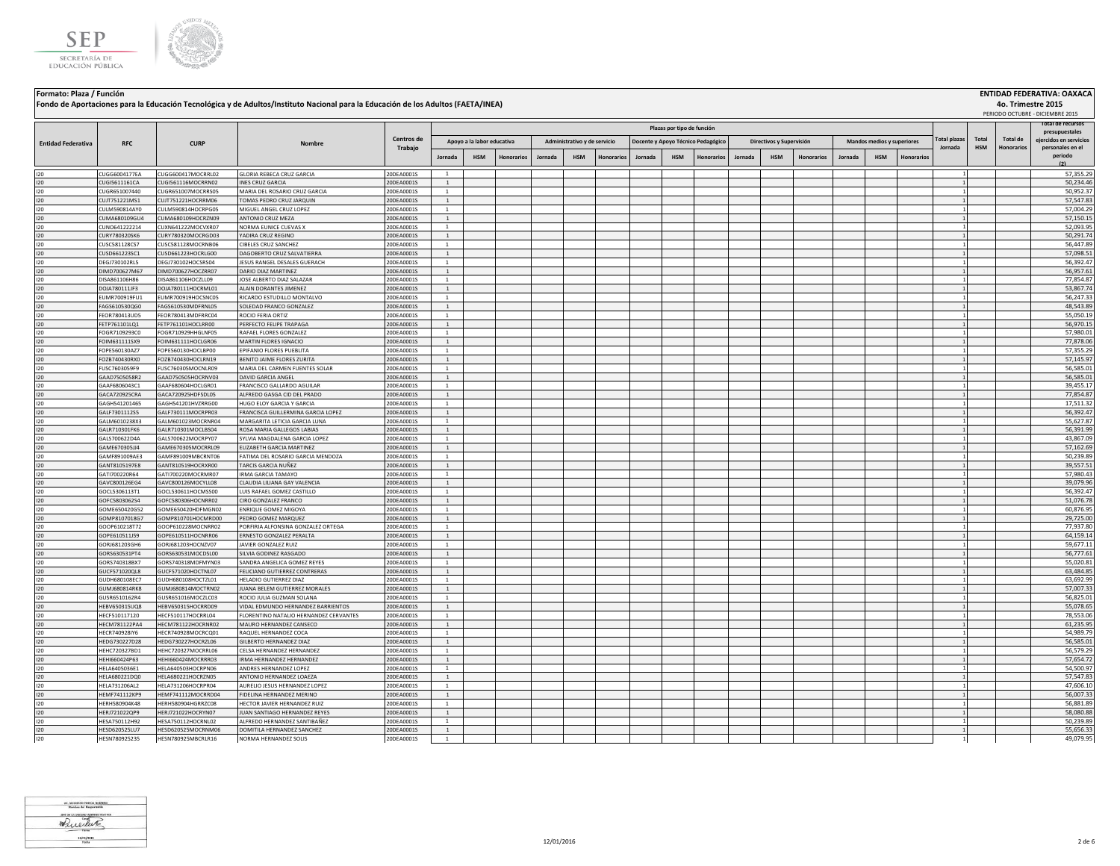



|                           |                                |                                          | Fondo de Aportaciones para la Educación Tecnológica y de Adultos/Instituto Nacional para la Educación de los Adultos (FAETA/INEA) |                          |                                  |                            |                   |         |                              |            |         |                            |                                    |         |                          |                   |         |                            |            |                                |                     |                               | 4o. Trimestre 2015<br>PERIODO OCTUBRE - DICIEMBRE 2015 |
|---------------------------|--------------------------------|------------------------------------------|-----------------------------------------------------------------------------------------------------------------------------------|--------------------------|----------------------------------|----------------------------|-------------------|---------|------------------------------|------------|---------|----------------------------|------------------------------------|---------|--------------------------|-------------------|---------|----------------------------|------------|--------------------------------|---------------------|-------------------------------|--------------------------------------------------------|
|                           |                                |                                          |                                                                                                                                   |                          |                                  |                            |                   |         |                              |            |         | Plazas por tipo de función |                                    |         |                          |                   |         |                            |            |                                |                     |                               | ital de recursos<br>presupuestales                     |
| <b>Entidad Federativa</b> | <b>RFC</b>                     | <b>CURP</b>                              | Nombre                                                                                                                            | Centros de<br>Trabajo    |                                  | Apoyo a la labor educativa |                   |         | Administrativo y de servicio |            |         |                            | Docente y Apoyo Técnico Pedagógico |         | Directivos y Supervisión |                   |         | Mandos medios y superiores |            | <b>Total plazas</b><br>Jornada | Total<br><b>HSM</b> | Total de<br><b>Honorarios</b> | ejercidos en servicios<br>personales en el             |
|                           |                                |                                          |                                                                                                                                   |                          | Jornada                          | <b>HSM</b>                 | <b>Honorarios</b> | Jornada | HSM                          | Honorarios | Jornada | <b>HSM</b>                 | <b>Honorarios</b>                  | Jornada | <b>HSM</b>               | <b>Honorarios</b> | Jornada | <b>HSM</b>                 | Honorarios |                                |                     |                               | periodo<br>(2)                                         |
| 120                       | CUGG6004177EA                  | CUGG600417MOCRRL02                       | GLORIA REBECA CRUZ GARCIA                                                                                                         | 20DEA0001S               | <sup>1</sup>                     |                            |                   |         |                              |            |         |                            |                                    |         |                          |                   |         |                            |            |                                |                     |                               | 57,355.29                                              |
| 120                       | CUGI5611161CA                  | CUGI561116MOCRRN02                       | <b>INES CRUZ GARCIA</b>                                                                                                           | 20DEA0001S               | <sup>1</sup>                     |                            |                   |         |                              |            |         |                            |                                    |         |                          |                   |         |                            |            |                                |                     |                               | 50,234.46                                              |
| 120                       | CUGR651007440                  | CUGR651007MOCRRS05                       | MARIA DEL ROSARIO CRUZ GARCIA                                                                                                     | 20DEA0001S               | <sup>1</sup>                     |                            |                   |         |                              |            |         |                            |                                    |         |                          |                   |         |                            |            |                                |                     |                               | 50,952.37                                              |
| 120                       | CUJT751221MS1                  | CUJT751221HOCRRM06                       | TOMAS PEDRO CRUZ JARQUIN                                                                                                          | 20DEA0001S               | $\mathbf{1}$                     |                            |                   |         |                              |            |         |                            |                                    |         |                          |                   |         |                            |            |                                |                     |                               | 57,547.83                                              |
| 120                       | CULM590814AY0                  | CULM590814HOCRPG05                       | MIGUEL ANGEL CRUZ LOPEZ                                                                                                           | 20DEA0001S               | $\overline{1}$                   |                            |                   |         |                              |            |         |                            |                                    |         |                          |                   |         |                            |            |                                |                     |                               | 57,004.29                                              |
| 120                       | CUMA680109GU4                  | CUMA680109HOCRZN09                       | ANTONIO CRUZ MEZA                                                                                                                 | 20DEA0001S               | $\overline{1}$                   |                            |                   |         |                              |            |         |                            |                                    |         |                          |                   |         |                            |            |                                |                     |                               | 57,150.15                                              |
| 120                       | CUNO641222214                  | CUXN641222MOCVXR07                       | NORMA EUNICE CUEVAS X                                                                                                             | 20DEA0001S               | <sup>1</sup>                     |                            |                   |         |                              |            |         |                            |                                    |         |                          |                   |         |                            |            |                                |                     |                               | 52,093.95                                              |
| 120                       | CURY780320SK6                  | CURY780320MOCRGD03                       | YADIRA CRUZ REGINO                                                                                                                | 20DEA0001S               | $\overline{1}$                   |                            |                   |         |                              |            |         |                            |                                    |         |                          |                   |         |                            |            |                                |                     |                               | 50,291.74                                              |
| 120                       | CUSC581128CS7                  | CUSC581128MOCRNB06                       | <b>CIBELES CRUZ SANCHEZ</b>                                                                                                       | 20DEA0001S               | $\overline{1}$<br>$\overline{1}$ |                            |                   |         |                              |            |         |                            |                                    |         |                          |                   |         |                            |            |                                |                     |                               | 56,447.89                                              |
| 120                       | CUSD661223SC1                  | CUSD661223HOCRLG00                       | DAGOBERTO CRUZ SALVATIERRA                                                                                                        | 20DEA0001S               | $\overline{1}$                   |                            |                   |         |                              |            |         |                            |                                    |         |                          |                   |         |                            |            |                                |                     |                               | 57,098.51<br>56,392.47                                 |
| 120                       | DEGJ730102RL5<br>DIMD700627M67 | DEGJ730102HOCSRS04<br>DIMD700627HOCZRR07 | JESUS RANGEL DESALES GUERACH<br>DARIO DIAZ MARTINEZ                                                                               | 20DEA0001S<br>20DEA0001S | $\mathbf{1}$                     |                            |                   |         |                              |            |         |                            |                                    |         |                          |                   |         |                            |            |                                |                     |                               | 56,957.61                                              |
| 120<br>120                | DISA861106H86                  | DISA861106HOCZLL09                       | JOSE ALBERTO DIAZ SALAZAR                                                                                                         | 20DEA0001S               | $\overline{1}$                   |                            |                   |         |                              |            |         |                            |                                    |         |                          |                   |         |                            |            |                                |                     |                               | 77,854.87                                              |
| 120                       | DOJA780111JF3                  | DOJA780111HOCRML01                       | ALAIN DORANTES JIMENEZ                                                                                                            | 20DEA0001S               | <sup>1</sup>                     |                            |                   |         |                              |            |         |                            |                                    |         |                          |                   |         |                            |            |                                |                     |                               | 53,867.74                                              |
| 120                       | UMR700919FU1                   | EUMR700919HOCSNC05                       | RICARDO ESTUDILLO MONTALVO                                                                                                        | 20DEA0001S               |                                  |                            |                   |         |                              |            |         |                            |                                    |         |                          |                   |         |                            |            |                                |                     |                               | 56,247.33                                              |
| 120                       | FAGS610530QG0                  | FAGS610530MDFRNL05                       | SOLEDAD FRANCO GONZALEZ                                                                                                           | 20DEA0001S               | $\overline{1}$                   |                            |                   |         |                              |            |         |                            |                                    |         |                          |                   |         |                            |            |                                |                     |                               | 48,543.89                                              |
| 120                       | FEOR780413UD5                  | FFOR780413MDFRRC04                       | ROCIO FERIA ORTIZ                                                                                                                 | 20DEA0001S               | $\overline{1}$                   |                            |                   |         |                              |            |         |                            |                                    |         |                          |                   |         |                            |            |                                |                     |                               | 55.050.19                                              |
| 120                       | FETP761101LO1                  | FFTP761101HOCLBR00                       | PERFECTO FELIPE TRAPAGA                                                                                                           | 20DEA0001S               | <sup>1</sup>                     |                            |                   |         |                              |            |         |                            |                                    |         |                          |                   |         |                            |            |                                |                     |                               | 56.970.15                                              |
| 120                       | FOGR7109293C0                  | FOGR710929HHGLNF05                       | RAFAEL FLORES GONZALEZ                                                                                                            | 20DEA0001S               | <sup>1</sup>                     |                            |                   |         |                              |            |         |                            |                                    |         |                          |                   |         |                            |            |                                |                     |                               | 57,980.01                                              |
| 120                       | FOIM631111SX9                  | FOIM631111HOCLGR06                       | MARTIN FLORES IGNACIO                                                                                                             | 20DEA0001S               | <sup>1</sup>                     |                            |                   |         |                              |            |         |                            |                                    |         |                          |                   |         |                            |            |                                |                     |                               | 77,878.06                                              |
| 120                       | FOPE560130AZ7                  | FOPE560130HOCLBP00                       | EPIFANIO FLORES PUEBLITA                                                                                                          | 20DEA0001S               | <sup>1</sup>                     |                            |                   |         |                              |            |         |                            |                                    |         |                          |                   |         |                            |            |                                |                     |                               | 57,355.29                                              |
| 120                       | FOZB740430RX0                  | FOZB740430HOCLRN19                       | BENITO JAIME FLORES ZURITA                                                                                                        | 20DEA0001S               | <sup>1</sup>                     |                            |                   |         |                              |            |         |                            |                                    |         |                          |                   |         |                            |            |                                |                     |                               | 57,145.97                                              |
| 120                       | FUSC7603059F9                  | FUSC760305MOCNLR09                       | MARIA DEL CARMEN FUENTES SOLAR                                                                                                    | 20DEA0001S               | <sup>1</sup>                     |                            |                   |         |                              |            |         |                            |                                    |         |                          |                   |         |                            |            |                                |                     |                               | 56,585.01                                              |
| 120                       | GAAD7505058R2                  | GAAD750505HOCRNV03                       | DAVID GARCIA ANGEL                                                                                                                | 20DEA0001S               | $\overline{1}$                   |                            |                   |         |                              |            |         |                            |                                    |         |                          |                   |         |                            |            |                                |                     |                               | 56,585.01                                              |
| 120                       | GAAF6806043C1                  | GAAF680604HOCLGR01                       | FRANCISCO GALLARDO AGUILAR                                                                                                        | 20DEA0001S               | $\overline{1}$                   |                            |                   |         |                              |            |         |                            |                                    |         |                          |                   |         |                            |            |                                |                     |                               | 39,455.17                                              |
| 120                       | GACA720925CRA                  | GACA720925HDFSDL05                       | ALFREDO GASGA CID DEL PRADO                                                                                                       | 20DEA0001S               | $1\,$                            |                            |                   |         |                              |            |         |                            |                                    |         |                          |                   |         |                            |            |                                |                     |                               | 77,854.87                                              |
| 120                       | GAGH541201465                  | GAGH541201HVZRRG00                       | HUGO ELOY GARCIA Y GARCIA                                                                                                         | 20DEA0001S               | $\overline{1}$                   |                            |                   |         |                              |            |         |                            |                                    |         |                          |                   |         |                            |            |                                |                     |                               | 17,511.32                                              |
| 120                       | GALF7301112S5                  | GALF730111MOCRPR03                       | FRANCISCA GUILLERMINA GARCIA LOPEZ                                                                                                | 20DEA0001S               | $1\,$                            |                            |                   |         |                              |            |         |                            |                                    |         |                          |                   |         |                            |            |                                |                     |                               | 56,392.47                                              |
| 120                       | GALM6010238X3                  | GALM601023MOCRNR04                       | MARGARITA LETICIA GARCIA LUNA                                                                                                     | 20DEA0001S               | <sup>1</sup>                     |                            |                   |         |                              |            |         |                            |                                    |         |                          |                   |         |                            |            |                                |                     |                               | 55,627.87                                              |
| 120                       | GALR710301FK6                  | GALR710301MOCLBS04                       | ROSA MARIA GALLEGOS LABIAS                                                                                                        | 20DEA0001S               | <sup>1</sup>                     |                            |                   |         |                              |            |         |                            |                                    |         |                          |                   |         |                            |            |                                |                     |                               | 56,391.99                                              |
| 120                       | GALS700622D4A                  | GALS700622MOCRPY07                       | SYLVIA MAGDALENA GARCIA LOPEZ                                                                                                     | 20DEA0001S               | $\overline{1}$                   |                            |                   |         |                              |            |         |                            |                                    |         |                          |                   |         |                            |            |                                |                     |                               | 43,867.09                                              |
| 120                       | GAME670305JJ4                  | GAME670305MOCRRL09                       | ELIZABETH GARCIA MARTINEZ                                                                                                         | 20DEA0001S               | $\mathbf{1}$                     |                            |                   |         |                              |            |         |                            |                                    |         |                          |                   |         |                            |            |                                |                     |                               | 57,162.69                                              |
| 120                       | GAMF891009AE3                  | GAMF891009MBCRNT06                       | FATIMA DEL ROSARIO GARCIA MENDOZA                                                                                                 | 20DEA0001S               | <sup>1</sup>                     |                            |                   |         |                              |            |         |                            |                                    |         |                          |                   |         |                            |            |                                |                     |                               | 50,239.89                                              |
| 120                       | GANT8105197E8                  | GANT810519HOCRXR00                       | TARCIS GARCIA NUÑEZ                                                                                                               | 20DEA0001S               | <sup>1</sup>                     |                            |                   |         |                              |            |         |                            |                                    |         |                          |                   |         |                            |            |                                |                     |                               | 39,557.51                                              |
| 120                       | GATI700220R64                  | GATI700220MOCRMR07                       | <b>IRMA GARCIA TAMAYO</b>                                                                                                         | 20DEA0001S               | <sup>1</sup>                     |                            |                   |         |                              |            |         |                            |                                    |         |                          |                   |         |                            |            |                                |                     |                               | 57,980.43                                              |
| 120                       | GAVC800126EG4                  | GAVC800126MOCYLL08                       | CLAUDIA LILIANA GAY VALENCIA                                                                                                      | 20DEA0001S               | <sup>1</sup><br>$\overline{1}$   |                            |                   |         |                              |            |         |                            |                                    |         |                          |                   |         |                            |            |                                |                     |                               | 39,079.96                                              |
| 120<br>120                | GOCL5306113T1<br>GOFC5803062S4 | GOCL530611HOCMSS00<br>GOFC580306HOCNRR02 | LUIS RAFAEL GOMEZ CASTILLO<br>CIRO GONZALEZ FRANCO                                                                                | 20DEA0001S<br>20DEA0001S | <sup>1</sup>                     |                            |                   |         |                              |            |         |                            |                                    |         |                          |                   |         |                            |            |                                |                     |                               | 56,392.47<br>51,076.78                                 |
| 120                       | GOME650420G52                  | GOME650420HDFMGN02                       | <b>ENRIQUE GOMEZ MIGOYA</b>                                                                                                       | 20DEA0001S               | $\mathbf{1}$                     |                            |                   |         |                              |            |         |                            |                                    |         |                          |                   |         |                            |            |                                |                     |                               | 60,876.95                                              |
| 120                       | GOMP8107018G7                  | GOMP810701HOCMRD00                       | PEDRO GOMEZ MARQUEZ                                                                                                               | 20DEA0001S               | $\overline{1}$                   |                            |                   |         |                              |            |         |                            |                                    |         |                          |                   |         |                            |            |                                |                     |                               | 29,725.00                                              |
| 120                       | GOOP610218T72                  | GOOP610228MOCNRR02                       | PORFIRIA ALFONSINA GONZALEZ ORTEGA                                                                                                | 20DEA0001S               | $\overline{1}$                   |                            |                   |         |                              |            |         |                            |                                    |         |                          |                   |         |                            |            |                                |                     |                               | 77,937.80                                              |
| 120                       | GOPE610511J59                  | GOPE610511HOCNRR06                       | ERNESTO GONZALEZ PERALTA                                                                                                          | 20DEA0001S               | $\overline{1}$                   |                            |                   |         |                              |            |         |                            |                                    |         |                          |                   |         |                            |            |                                |                     |                               | 64,159.14                                              |
| 120                       | GORJ681203GH6                  | GORJ681203HOCNZV07                       | JAVIER GONZALEZ RUIZ                                                                                                              | 20DEA0001S               | $\overline{1}$                   |                            |                   |         |                              |            |         |                            |                                    |         |                          |                   |         |                            |            |                                |                     |                               | 59,677.11                                              |
| 120                       | GORS630531PT4                  | GORS630531MOCDSL00                       | SILVIA GODINEZ RASGADO                                                                                                            | 20DEA0001S               | $\overline{1}$                   |                            |                   |         |                              |            |         |                            |                                    |         |                          |                   |         |                            |            |                                |                     |                               | 56,777.61                                              |
| 120                       | GORS740318BX7                  | GORS740318MDFMYN03                       | SANDRA ANGELICA GOMEZ REYES                                                                                                       | 20DEA0001S               |                                  |                            |                   |         |                              |            |         |                            |                                    |         |                          |                   |         |                            |            |                                |                     |                               | 55,020.81                                              |
| 120                       | GUCF571020QL8                  | GUCF571020HOCTNL07                       | FELICIANO GUTIERREZ CONTRERAS                                                                                                     | 20DEA0001S               | $\mathbf{1}$                     |                            |                   |         |                              |            |         |                            |                                    |         |                          |                   |         |                            |            |                                |                     |                               | 63,484.85                                              |
| 120                       | GUDH680108EC7                  | GUDH680108HOCTZL01                       | HELADIO GUTIERREZ DIAZ                                                                                                            | 20DEA0001S               |                                  |                            |                   |         |                              |            |         |                            |                                    |         |                          |                   |         |                            |            |                                |                     |                               | 63,692.99                                              |
| 120                       | GUMJ680814RK8                  | GUMJ680814MOCTRN02                       | JUANA BELEM GUTIERREZ MORALES                                                                                                     | 20DEA0001S               | $\overline{1}$                   |                            |                   |         |                              |            |         |                            |                                    |         |                          |                   |         |                            |            |                                |                     |                               | 57,007.33                                              |
| 120                       | GUSR6510162R4                  | GUSR651016MOCZLC03                       | ROCIO JULIA GUZMAN SOLANA                                                                                                         | 20DEA0001S               | <sup>1</sup>                     |                            |                   |         |                              |            |         |                            |                                    |         |                          |                   |         |                            |            |                                |                     |                               | 56,825.01                                              |
| 120                       | HEBV650315UQ8                  | HEBV650315HOCRRD09                       | VIDAL EDMUNDO HERNANDEZ BARRIENTOS                                                                                                | 20DEA0001S               | $\overline{1}$                   |                            |                   |         |                              |            |         |                            |                                    |         |                          |                   |         |                            |            |                                |                     |                               | 55.078.65                                              |
| 120                       | HECF510117120                  | HECF510117HOCRRL04                       | FLORENTINO NATALIO HERNANDEZ CERVANTES                                                                                            | 20DEA0001S               | $\overline{1}$                   |                            |                   |         |                              |            |         |                            |                                    |         |                          |                   |         |                            |            |                                |                     |                               | 78,553.06                                              |
| 120                       | HECM781122PA4                  | HECM781122HOCRNR02                       | MAURO HERNANDEZ CANSECO                                                                                                           | 20DEA0001S               | <sup>1</sup>                     |                            |                   |         |                              |            |         |                            |                                    |         |                          |                   |         |                            |            |                                |                     |                               | 61,235.95                                              |
| 120                       | HECR740928IY6                  | HECR740928MOCRCQ01                       | RAQUEL HERNANDEZ COCA                                                                                                             | 20DEA0001S               | <sup>1</sup>                     |                            |                   |         |                              |            |         |                            |                                    |         |                          |                   |         |                            |            |                                |                     |                               | 54,989.79                                              |
| 120                       | HEDG730227D28                  | HEDG730227HOCRZL06                       | GILBERTO HERNANDEZ DIAZ                                                                                                           | 20DEA0001S               | <sup>1</sup>                     |                            |                   |         |                              |            |         |                            |                                    |         |                          |                   |         |                            |            |                                |                     |                               | 56,585.01                                              |
| 120                       | HEHC720327BD1                  | HEHC720327MOCRRL06                       | CELSA HERNANDEZ HERNANDEZ                                                                                                         | 20DEA0001S               | <sup>1</sup>                     |                            |                   |         |                              |            |         |                            |                                    |         |                          |                   |         |                            |            |                                |                     |                               | 56,579.29                                              |
| 120                       | HEHI660424P63                  | HEHI660424MOCRRR03                       | IRMA HERNANDEZ HERNANDEZ                                                                                                          | 20DEA0001S               | $\overline{1}$                   |                            |                   |         |                              |            |         |                            |                                    |         |                          |                   |         |                            |            |                                |                     |                               | 57,654.72                                              |
| 120                       | HELA6405036E1                  | HELA640503HOCRPN06                       | ANDRES HERNANDEZ LOPEZ                                                                                                            | 20DEA0001S               | $\mathbf{1}$                     |                            |                   |         |                              |            |         |                            |                                    |         |                          |                   |         |                            |            |                                |                     |                               | 54,500.97                                              |
| 120                       | HELA680221DQ0                  | HELA680221HOCRZN05                       | ANTONIO HERNANDEZ LOAEZA                                                                                                          | 20DEA0001S               | $\overline{1}$                   |                            |                   |         |                              |            |         |                            |                                    |         |                          |                   |         |                            |            |                                |                     |                               | 57,547.83                                              |
| 120                       | HELA731206AL2                  | HELA731206HOCRPR04                       | AURELIO JESUS HERNANDEZ LOPEZ                                                                                                     | 20DEA0001S               | $\overline{1}$                   |                            |                   |         |                              |            |         |                            |                                    |         |                          |                   |         |                            |            |                                |                     |                               | 47,606.10                                              |
| 120                       | HEMF741112KP9                  | HEMF741112MOCRRD04                       | FIDELINA HERNANDEZ MERINO                                                                                                         | 20DEA0001S               | $\mathbf{1}$                     |                            |                   |         |                              |            |         |                            |                                    |         |                          |                   |         |                            |            |                                |                     |                               | 56,007.33                                              |
| 120                       | HERH580904K48                  | HERH580904HGRRZC08                       | HECTOR JAVIER HERNANDEZ RUIZ                                                                                                      | 20DEA0001S               | $\overline{1}$                   |                            |                   |         |                              |            |         |                            |                                    |         |                          |                   |         |                            |            |                                |                     |                               | 56,881.89                                              |
| 120                       | HERJ721022QP9                  | HERJ721022HOCRYN07                       | JUAN SANTIAGO HERNANDEZ REYES                                                                                                     | 20DEA0001S               | <sup>1</sup>                     |                            |                   |         |                              |            |         |                            |                                    |         |                          |                   |         |                            |            |                                |                     |                               | 58,080.88                                              |
| 120                       | HESA750112H92                  | HESA750112HOCRNL02                       | ALFREDO HERNANDEZ SANTIBAÑEZ                                                                                                      | 20DEA0001S               | $\overline{1}$<br>$\overline{1}$ |                            |                   |         |                              |            |         |                            |                                    |         |                          |                   |         |                            |            |                                |                     |                               | 50,239.89                                              |
| 120<br>120                | HESD620525LU7<br>HESN780925235 | HESD620525MOCRNM06<br>HESN780925MBCRLR16 | DOMITILA HERNANDEZ SANCHEZ<br>NORMA HERNANDEZ SOLIS                                                                               | 20DEA0001S<br>20DEA0001S |                                  |                            |                   |         |                              |            |         |                            |                                    |         |                          |                   |         |                            |            |                                |                     |                               | 55,656.33<br>49.079.95                                 |
|                           |                                |                                          |                                                                                                                                   |                          |                                  |                            |                   |         |                              |            |         |                            |                                    |         |                          |                   |         |                            |            |                                |                     |                               |                                                        |

UC, MODESTO PINEDA ROMERO Whichler  $\frac{11/01/2025}{Fee^{-1/2}}$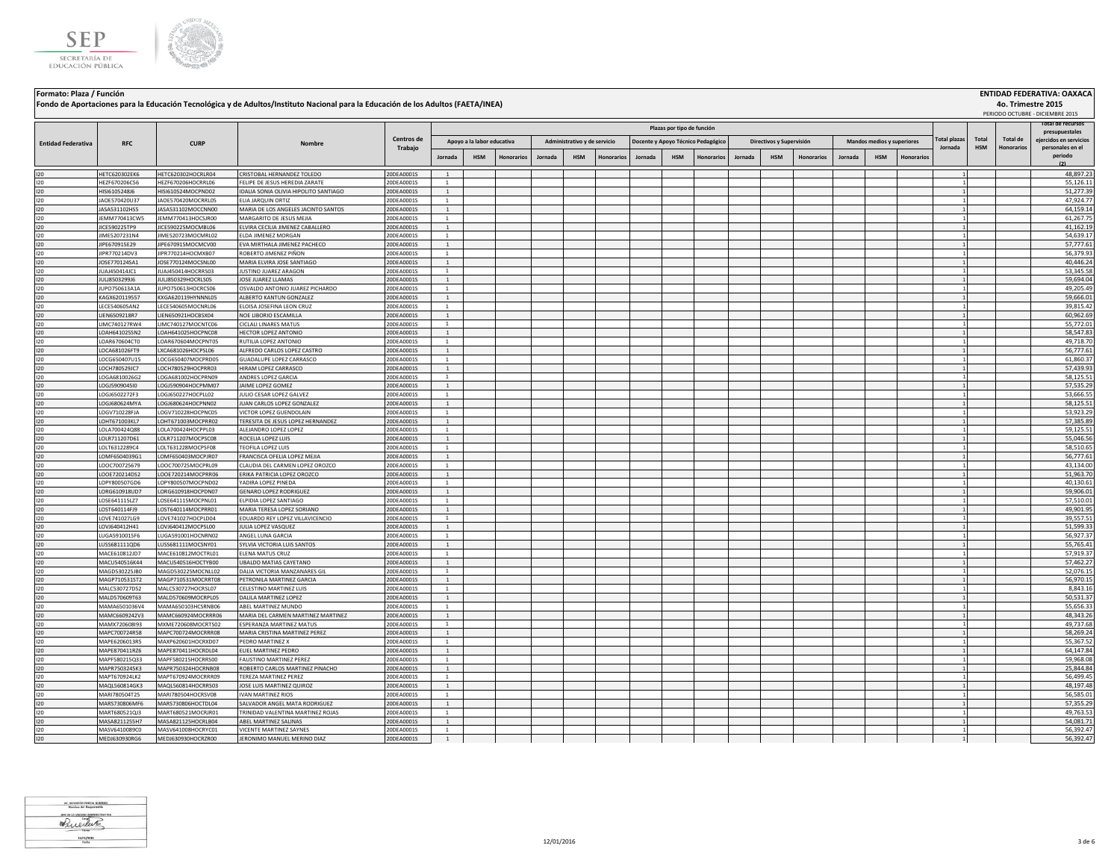



|                           |                                |                                          | Fondo de Aportaciones para la Educación Tecnológica y de Adultos/Instituto Nacional para la Educación de los Adultos (FAETA/INEA) |                          |                                |                            |                   |         |                              |                   |         |                            |                                    |         |                          |                   |         |                            |                   |                                |                     | 4o. Trimestre 2015            | PERIODO OCTUBRE - DICIEMBRE 2015           |
|---------------------------|--------------------------------|------------------------------------------|-----------------------------------------------------------------------------------------------------------------------------------|--------------------------|--------------------------------|----------------------------|-------------------|---------|------------------------------|-------------------|---------|----------------------------|------------------------------------|---------|--------------------------|-------------------|---------|----------------------------|-------------------|--------------------------------|---------------------|-------------------------------|--------------------------------------------|
|                           |                                |                                          |                                                                                                                                   |                          |                                |                            |                   |         |                              |                   |         | Plazas por tipo de función |                                    |         |                          |                   |         |                            |                   |                                |                     |                               | otal de recursos<br>presupuestales         |
| <b>Entidad Federativa</b> | <b>RFC</b>                     | <b>CURP</b>                              | Nombre                                                                                                                            | Centros de<br>Trabajo    |                                | Apoyo a la labor educativa |                   |         | Administrativo y de servicio |                   |         |                            | Docente y Apovo Técnico Pedagógico |         | Directivos y Supervisión |                   |         | Mandos medios y superiores |                   | <b>Total plazas</b><br>Jornada | Total<br><b>HSM</b> | Total de<br><b>Honorarios</b> | ejercidos en servicios<br>personales en el |
|                           |                                |                                          |                                                                                                                                   |                          | Jornada                        | <b>HSM</b>                 | <b>Honorarios</b> | Jornada | <b>HSM</b>                   | <b>Honorarios</b> | Jornada | <b>HSM</b>                 | <b>Honorarios</b>                  | Jornada | <b>HSM</b>               | <b>Honorarios</b> | Jornada | <b>HSM</b>                 | <b>Honorarios</b> |                                |                     |                               | periodo<br>(2)                             |
| 120                       | HETC620302EK6                  | HETC620302HOCRLR04                       | CRISTORAL HERNANDEZ TOLEDO                                                                                                        | 20DEA0001S               | $\overline{1}$                 |                            |                   |         |                              |                   |         |                            |                                    |         |                          |                   |         |                            |                   |                                |                     |                               | 48,897.23                                  |
| 120                       | HEZE670206C56                  | HEZE670206HOCRRL06                       | <b>FFLIPE DE JESUS HEREDIA ZARATE</b>                                                                                             | 20DEA0001S               | $\overline{1}$                 |                            |                   |         |                              |                   |         |                            |                                    |         |                          |                   |         |                            |                   |                                |                     |                               | 55,126.11                                  |
| 120                       | HISI6105248J6                  | HISI610524MOCPND02                       | IDALIA SONIA OLIVIA HIPOLITO SANTIAGO                                                                                             | 20DEA0001S               | <sup>1</sup>                   |                            |                   |         |                              |                   |         |                            |                                    |         |                          |                   |         |                            |                   |                                |                     |                               | 51,277.39                                  |
| 120                       | JAOE570420U37                  | JAOE570420MOCRRL05                       | ELIA JARQUIN ORTIZ                                                                                                                | 20DEA0001S               | <sup>1</sup>                   |                            |                   |         |                              |                   |         |                            |                                    |         |                          |                   |         |                            |                   |                                |                     |                               | 47,924.77                                  |
| 120                       | JASA531102HS5                  | JASA531102MOCCNN00                       | MARIA DE LOS ANGELES JACINTO SANTOS                                                                                               | 20DEA0001S               | <sup>1</sup>                   |                            |                   |         |                              |                   |         |                            |                                    |         |                          |                   |         |                            |                   |                                |                     |                               | 64,159.14                                  |
| 120                       | JEMM770413CW5                  | JEMM770413HOCSJR00                       | MARGARITO DE JESUS MEJIA                                                                                                          | 20DEA0001S               | <sup>1</sup>                   |                            |                   |         |                              |                   |         |                            |                                    |         |                          |                   |         |                            |                   |                                |                     |                               | 61,267.75                                  |
| 120                       | JICE590225TP9                  | JICE590225MOCMBL06                       | ELVIRA CECILIA JIMENEZ CABALLERO                                                                                                  | 20DEA0001S               | <sup>1</sup>                   |                            |                   |         |                              |                   |         |                            |                                    |         |                          |                   |         |                            |                   |                                |                     |                               | 41,162.19                                  |
| 120                       | JIME5207231N4<br>IIPF670915F29 | JIME520723MOCMRL02<br>JIPE670915MOCMCV00 | ELDA JIMENEZ MORGAN<br><b>FVA MIRTHAI A IIMENEZ PACHECO</b>                                                                       | 20DEA0001S<br>20DEA0001S | $\mathbf{1}$<br>$\overline{1}$ |                            |                   |         |                              |                   |         |                            |                                    |         |                          |                   |         |                            |                   |                                |                     |                               | 54,639.17<br>57,777.61                     |
| 120<br>120                | JIPR770214DV3                  | IIPR770214HOCMXB07                       | ROBERTO IIMENEZ PIÑON                                                                                                             | 20DEA0001S               | $\overline{1}$                 |                            |                   |         |                              |                   |         |                            |                                    |         |                          |                   |         |                            |                   |                                |                     |                               | 56.379.93                                  |
| 120                       | JOSE770124SA1                  | JOSE770124MOCSNL00                       | MARIA ELVIRA JOSE SANTIAGO                                                                                                        | 20DEA0001S               | $\mathbf{1}$                   |                            |                   |         |                              |                   |         |                            |                                    |         |                          |                   |         |                            |                   |                                |                     |                               | 40,446.24                                  |
| 120                       | JUAJ450414JC1                  | JUAJ450414HOCRRS03                       | <b>JUSTINO JUAREZ ARAGON</b>                                                                                                      | 20DEA0001S               | $\overline{1}$                 |                            |                   |         |                              |                   |         |                            |                                    |         |                          |                   |         |                            |                   |                                |                     |                               | 53,345.58                                  |
| 120                       | JULJ8503299J6                  | JULJ850329HOCRLS05                       | JOSE JUAREZ LLAMAS                                                                                                                | 20DEA0001S               | <sup>1</sup>                   |                            |                   |         |                              |                   |         |                            |                                    |         |                          |                   |         |                            |                   |                                |                     |                               | 59,694.04                                  |
| 120                       | JUPO750613A1A                  | JUPO750613HOCRCS06                       | OSVALDO ANTONIO JUAREZ PICHARDO                                                                                                   | 20DEA0001S               | $\overline{1}$                 |                            |                   |         |                              |                   |         |                            |                                    |         |                          |                   |         |                            |                   |                                |                     |                               | 49,205.49                                  |
| 120                       | KAGX620119557                  | KXGA620119HYNNNL05                       | ALBERTO KANTUN GONZALEZ                                                                                                           | 20DEA0001S               | <sup>1</sup>                   |                            |                   |         |                              |                   |         |                            |                                    |         |                          |                   |         |                            |                   |                                |                     |                               | 59,666.01                                  |
| 120                       | ECE540605AN2                   | LECE540605MOCNRL06                       | LOISA JOSEFINA LEON CRUZ                                                                                                          | 20DEA0001S               |                                |                            |                   |         |                              |                   |         |                            |                                    |         |                          |                   |         |                            |                   |                                |                     |                               | 39,815.42                                  |
| 120                       | IEN6509218R7                   | IEN650921HOCBSX04                        | NOE LIBORIO ESCAMILLA                                                                                                             | 20DEA0001S               | <sup>1</sup>                   |                            |                   |         |                              |                   |         |                            |                                    |         |                          |                   |         |                            |                   |                                |                     |                               | 60,962.69                                  |
| 120                       | IMC740127RW4                   | LIMC740127MOCNTC06                       | CICLALI LINARES MATUS                                                                                                             | 20DEA0001S               | 1                              |                            |                   |         |                              |                   |         |                            |                                    |         |                          |                   |         |                            |                   |                                |                     |                               | 55,772.01                                  |
| 120                       | OAH641025SN2                   | LOAH641025HOCPNC08                       | HECTOR LOPEZ ANTONIO                                                                                                              | 20DEA0001S               | <sup>1</sup>                   |                            |                   |         |                              |                   |         |                            |                                    |         |                          |                   |         |                            |                   | $\mathbf{1}$                   |                     |                               | 58,547.83                                  |
| 120                       | OAR670604CT0                   | LOAR670604MOCPNT05                       | RUTILIA LOPEZ ANTONIO                                                                                                             | 20DEA0001S               | <sup>1</sup>                   |                            |                   |         |                              |                   |         |                            |                                    |         |                          |                   |         |                            |                   |                                |                     |                               | 49,718.70                                  |
| 120                       | OCA681026FT9                   | LXCA681026HOCPSL06                       | ALFREDO CARLOS LOPEZ CASTRO                                                                                                       | 20DEA0001S               | $\mathbf{1}$                   |                            |                   |         |                              |                   |         |                            |                                    |         |                          |                   |         |                            |                   | $\overline{1}$                 |                     |                               | 56,777.61                                  |
| 120                       | LOCG650407U15                  | LOCG650407MOCPRD05                       | GUADALUPE LOPEZ CARRASCO                                                                                                          | 20DEA0001S               | $\mathbf{1}$                   |                            |                   |         |                              |                   |         |                            |                                    |         |                          |                   |         |                            |                   |                                |                     |                               | 61,860.37                                  |
| 120                       | LOCH780529JC7                  | LOCH780529HOCPRR03                       | HIRAM LOPEZ CARRASCO                                                                                                              | 20DEA0001S               | $\mathbf{1}$                   |                            |                   |         |                              |                   |         |                            |                                    |         |                          |                   |         |                            |                   |                                |                     |                               | 57,439.93                                  |
| 120                       | LOGA6810026G2                  | LOGA681002HOCPRN09                       | <b>INDRES LOPEZ GARCIA</b>                                                                                                        | 20DEA0001S               | <sup>1</sup>                   |                            |                   |         |                              |                   |         |                            |                                    |         |                          |                   |         |                            |                   |                                |                     |                               | 58,125.51                                  |
| 120                       | LOGJ5909045I0                  | LOGJ590904HOCPMM07                       | JAIME LOPEZ GOMEZ                                                                                                                 | 20DEA0001S               | $\overline{1}$                 |                            |                   |         |                              |                   |         |                            |                                    |         |                          |                   |         |                            |                   |                                |                     |                               | 57,535.29                                  |
| 120                       | LOGJ6502272F3                  | OGJ650227HOCPLL02                        | JULIO CESAR LOPEZ GALVEZ                                                                                                          | 20DEA0001S               | <sup>1</sup>                   |                            |                   |         |                              |                   |         |                            |                                    |         |                          |                   |         |                            |                   |                                |                     |                               | 53,666.55                                  |
| 120                       | LOGJ680624MYA                  | LOGJ680624HOCPNN02                       | JUAN CARLOS LOPEZ GONZALEZ                                                                                                        | 20DEA0001S               | $\overline{1}$                 |                            |                   |         |                              |                   |         |                            |                                    |         |                          |                   |         |                            |                   |                                |                     |                               | 58,125.51                                  |
| 120                       | OGV710228FJA                   | OGV710228HOCPNC05                        | VICTOR LOPEZ GUENDOLAIN                                                                                                           | 20DEA0001S               | $\overline{1}$                 |                            |                   |         |                              |                   |         |                            |                                    |         |                          |                   |         |                            |                   |                                |                     |                               | 53,923.29                                  |
| 120                       | LOHT671003KL7                  | LOHT671003MOCPRR02                       | TERESITA DE JESUS LOPEZ HERNANDEZ                                                                                                 | 20DEA0001S               | $\mathbf{1}$                   |                            |                   |         |                              |                   |         |                            |                                    |         |                          |                   |         |                            |                   |                                |                     |                               | 57,385.89                                  |
| 120                       | LOLA700424Q88                  | LOLA700424HOCPPL03                       | ALEJANDRO LOPEZ LOPEZ                                                                                                             | 20DEA0001S               | $\mathbf{1}$                   |                            |                   |         |                              |                   |         |                            |                                    |         |                          |                   |         |                            |                   |                                |                     |                               | 59,125.51                                  |
| 120                       | LOLR711207D61                  | LOLR711207MOCPSC08                       | ROCELIA LOPEZ LUIS                                                                                                                | 20DEA0001S               | <sup>1</sup>                   |                            |                   |         |                              |                   |         |                            |                                    |         |                          |                   |         |                            |                   |                                |                     |                               | 55,046.56                                  |
| 120                       | OLT6312289C4                   | LOLT631228MOCPSF08                       | TEOFILA LOPEZ LUIS                                                                                                                | 20DEA0001S               | $\mathbf{1}$                   |                            |                   |         |                              |                   |         |                            |                                    |         |                          |                   |         |                            |                   |                                |                     |                               | 58,510.65                                  |
| 120                       | OMF6504039G1                   | OMF650403MOCPJR07                        | FRANCISCA OFELIA LOPEZ MEJIA                                                                                                      | 20DEA0001S               | <sup>1</sup>                   |                            |                   |         |                              |                   |         |                            |                                    |         |                          |                   |         |                            |                   |                                |                     |                               | 56,777.61                                  |
| 120<br>120                | LOOC700725679<br>LOOE720214DS2 | LOOC700725MOCPRL09<br>LOOE720214MOCPRR06 | CLAUDIA DEL CARMEN LOPEZ OROZCO<br>ERIKA PATRICIA LOPEZ OROZCO                                                                    | 20DEA0001S<br>20DEA0001S | <sup>1</sup><br><sup>1</sup>   |                            |                   |         |                              |                   |         |                            |                                    |         |                          |                   |         |                            |                   | $\overline{1}$                 |                     |                               | 43,134.00<br>51,963.70                     |
| 120                       | OPY800507GD6                   | OPY800507MOCPND02                        | YADIRA LOPEZ PINEDA                                                                                                               | 20DEA0001S               | <sup>1</sup>                   |                            |                   |         |                              |                   |         |                            |                                    |         |                          |                   |         |                            |                   |                                |                     |                               | 40,130.61                                  |
|                           | ORG610918UD7                   | LORG610918HOCPDN07                       | <b>GENARO LOPEZ RODRIGUEZ</b>                                                                                                     | 20DEA0001S               | $\mathbf{1}$                   |                            |                   |         |                              |                   |         |                            |                                    |         |                          |                   |         |                            |                   |                                |                     |                               | 59,906.01                                  |
| 120<br>120                | LOSE641115LZ7                  | LOSE641115MOCPNL01                       | ELPIDIA LOPEZ SANTIAGO                                                                                                            | 20DEA0001S               | <sup>1</sup>                   |                            |                   |         |                              |                   |         |                            |                                    |         |                          |                   |         |                            |                   |                                |                     |                               | 57,510.01                                  |
| 120                       | LOST640114FJ9                  | LOST640114MOCPRR01                       | MARIA TERESA LOPEZ SORIANO                                                                                                        | 20DEA0001S               | <sup>1</sup>                   |                            |                   |         |                              |                   |         |                            |                                    |         |                          |                   |         |                            |                   |                                |                     |                               | 49,901.95                                  |
| 120                       | LOVE741027LG9                  | LOVE741027HOCPLD04                       | EDUARDO REY LOPEZ VILLAVICENCIO                                                                                                   | 20DEA0001S               | <sup>1</sup>                   |                            |                   |         |                              |                   |         |                            |                                    |         |                          |                   |         |                            |                   |                                |                     |                               | 39,557.51                                  |
| 120                       | LOVJ640412H41                  | LOVJ640412MOCPSL00                       | JULIA LOPEZ VASQUEZ                                                                                                               | 20DEA0001S               | $\mathbf{1}$                   |                            |                   |         |                              |                   |         |                            |                                    |         |                          |                   |         |                            |                   |                                |                     |                               | 51,599.33                                  |
| 120                       | UGA5910015F6                   | LUGA591001HOCNRN02                       | ANGEL LUNA GARCIA                                                                                                                 | 20DEA0001S               | $\overline{1}$                 |                            |                   |         |                              |                   |         |                            |                                    |         |                          |                   |         |                            |                   |                                |                     |                               | 56,927.37                                  |
| 120                       | LUSS681111QD6                  | LUSS681111MOCSNY01                       | SYLVIA VICTORIA LUIS SANTOS                                                                                                       | 20DEA0001S               | $\overline{1}$                 |                            |                   |         |                              |                   |         |                            |                                    |         |                          |                   |         |                            |                   |                                |                     |                               | 55,765.41                                  |
| 120                       | MACE610812JD7                  | MACE610812MOCTRL01                       | ELENA MATUS CRUZ                                                                                                                  | 20DEA0001S               | $\overline{1}$                 |                            |                   |         |                              |                   |         |                            |                                    |         |                          |                   |         |                            |                   |                                |                     |                               | 57,919.37                                  |
| 120                       | MACU540516K44                  | MACU540516HOCTYB00                       | UBALDO MATIAS CAYETANO                                                                                                            | 20DEA0001S               | $\overline{1}$                 |                            |                   |         |                              |                   |         |                            |                                    |         |                          |                   |         |                            |                   |                                |                     |                               | 57,462.27                                  |
| 120                       | MAGD530225JB0                  | MAGD530225MOCNLL02                       | DALIA VICTORIA MANZANARES GIL                                                                                                     | 20DEA0001S               | $\overline{1}$                 |                            |                   |         |                              |                   |         |                            |                                    |         |                          |                   |         |                            |                   |                                |                     |                               | 52,076.15                                  |
| 120                       | MAGP710531ST2                  | MAGP710531MOCRRT08                       | PETRONILA MARTINEZ GARCIA                                                                                                         | 20DEA0001S               | $\mathbf{1}$                   |                            |                   |         |                              |                   |         |                            |                                    |         |                          |                   |         |                            |                   |                                |                     |                               | 56,970.15                                  |
| 120                       | MALC530727D52                  | MALC530727HOCRSL07                       | CELESTINO MARTINEZ LUIS                                                                                                           | 20DEA0001S               | $\mathbf 1$                    |                            |                   |         |                              |                   |         |                            |                                    |         |                          |                   |         |                            |                   |                                |                     |                               | 8,843.16                                   |
| 120                       | MALD570609T63                  | MALD570609MOCRPL05                       | DALILA MARTINEZ LOPEZ                                                                                                             | 20DEA0001S               | <sup>1</sup>                   |                            |                   |         |                              |                   |         |                            |                                    |         |                          |                   |         |                            |                   |                                |                     |                               | 50,531.37                                  |
| 120                       | MAMA6501036V4                  | MAMA650103HCSRNB06                       | ABEL MARTINEZ MUNDO                                                                                                               | 20DEA0001S               | 1                              |                            |                   |         |                              |                   |         |                            |                                    |         |                          |                   |         |                            |                   |                                |                     |                               | 55,656.33                                  |
| 120                       | MAMC6609242V3                  | MAMC660924MOCRRR06                       | MARIA DEL CARMEN MARTINEZ MARTINEZ                                                                                                | 20DEA0001S               | $\overline{1}$                 |                            |                   |         |                              |                   |         |                            |                                    |         |                          |                   |         |                            |                   |                                |                     |                               | 48.343.26                                  |
| 120                       | MAMX720608193                  | MXMF720608MOCRTS02                       | <b>ESPERANZA MARTINEZ MATUS</b>                                                                                                   | 20DEA0001S               | <sup>1</sup>                   |                            |                   |         |                              |                   |         |                            |                                    |         |                          |                   |         |                            |                   |                                |                     |                               | 49.737.68                                  |
| 120                       | MAPC700724R58                  | MAPC700724MOCRRR08                       | MARIA CRISTINA MARTINEZ PEREZ                                                                                                     | 20DEA0001S               | <sup>1</sup>                   |                            |                   |         |                              |                   |         |                            |                                    |         |                          |                   |         |                            |                   | $\overline{1}$                 |                     |                               | 58,269.24                                  |
| 120                       | MAPE6206013R5                  | MAXP620601HOCRXD07                       | PEDRO MARTINEZ X                                                                                                                  | 20DEA0001S               | $\mathbf{1}$                   |                            |                   |         |                              |                   |         |                            |                                    |         |                          |                   |         |                            |                   |                                |                     |                               | 55,367.52                                  |
| 120                       | MAPE870411RZ6                  | MAPE870411HOCRDL04                       | ELIEL MARTINEZ PEDRC                                                                                                              | 20DEA0001S               | $\mathbf{1}$                   |                            |                   |         |                              |                   |         |                            |                                    |         |                          |                   |         |                            |                   |                                |                     |                               | 64,147.84                                  |
| 120                       | MAPF580215Q33                  | MAPF580215HOCRRS00                       | FAUSTINO MARTINEZ PEREZ                                                                                                           | 20DEA0001S               | $\mathbf{1}$                   |                            |                   |         |                              |                   |         |                            |                                    |         |                          |                   |         |                            |                   |                                |                     |                               | 59,968.08                                  |
| 120                       | MAPR7503245K3                  | MAPR750324HOCRNB08                       | ROBERTO CARLOS MARTINEZ PINACHO                                                                                                   | 20DEA0001S               | $\overline{1}$                 |                            |                   |         |                              |                   |         |                            |                                    |         |                          |                   |         |                            |                   |                                |                     |                               | 25,844.84                                  |
| 120                       | MAPT670924LK2                  | MAPT670924MOCRRR09                       | TEREZA MARTINEZ PEREZ                                                                                                             | 20DEA0001S               | $\overline{1}$                 |                            |                   |         |                              |                   |         |                            |                                    |         |                          |                   |         |                            |                   |                                |                     |                               | 56,499.45                                  |
| 120                       | MAOI 560814GK3                 | MAQL560814HOCRRS03                       | JOSE LUIS MARTINEZ QUIROZ                                                                                                         | 20DEA0001S               | $\overline{1}$                 |                            |                   |         |                              |                   |         |                            |                                    |         |                          |                   |         |                            |                   |                                |                     |                               | 48.197.48                                  |
| 120                       | MARI780504T25                  | MARI780504HOCRSV08                       | <b>IVAN MARTINEZ RIOS</b>                                                                                                         | 20DEA0001S               | <sup>1</sup><br>$\overline{1}$ |                            |                   |         |                              |                   |         |                            |                                    |         |                          |                   |         |                            |                   |                                |                     |                               | 56,585.01                                  |
| 120                       | MARS730806MF6                  | MARS730806HOCTDL04                       | SALVADOR ANGEL MATA RODRIGUEZ                                                                                                     | 20DEA0001S               | $\overline{1}$                 |                            |                   |         |                              |                   |         |                            |                                    |         |                          |                   |         |                            |                   |                                |                     |                               | 57,355.29<br>49,763.53                     |
| 120<br>120                | MART680521QJ3<br>MASA8211255H7 | MART680521MOCRJR01<br>MASA821125HOCRLB04 | TRINIDAD VALENTINA MARTINEZ ROJAS<br><b>ABEL MARTINEZ SALINAS</b>                                                                 | 20DEA0001S<br>20DEA0001S | $\overline{1}$                 |                            |                   |         |                              |                   |         |                            |                                    |         |                          |                   |         |                            |                   |                                |                     |                               | 54,081.71                                  |
| 120                       | MASV6410089C0                  | MASV641008HOCRYC01                       | VICENTE MARTINEZ SAYNES                                                                                                           | 20DEA0001S               | $\mathbf{1}$                   |                            |                   |         |                              |                   |         |                            |                                    |         |                          |                   |         |                            |                   |                                |                     |                               | 56,392.47                                  |
| 120                       | MEDJ630930RG6                  | MEDJ630930HOCRZR00                       | JERONIMO MANUEL MERINO DIAZ                                                                                                       | 20DEA0001S               | $\mathbf{1}$                   |                            |                   |         |                              |                   |         |                            |                                    |         |                          |                   |         |                            |                   |                                |                     |                               | 56.392.47                                  |
|                           |                                |                                          |                                                                                                                                   |                          |                                |                            |                   |         |                              |                   |         |                            |                                    |         |                          |                   |         |                            |                   |                                |                     |                               |                                            |

UC, MODESTO PINEDA ROMERO<br>Rombre del Responsable Whichler  $\frac{11/01/2025}{Pedta}$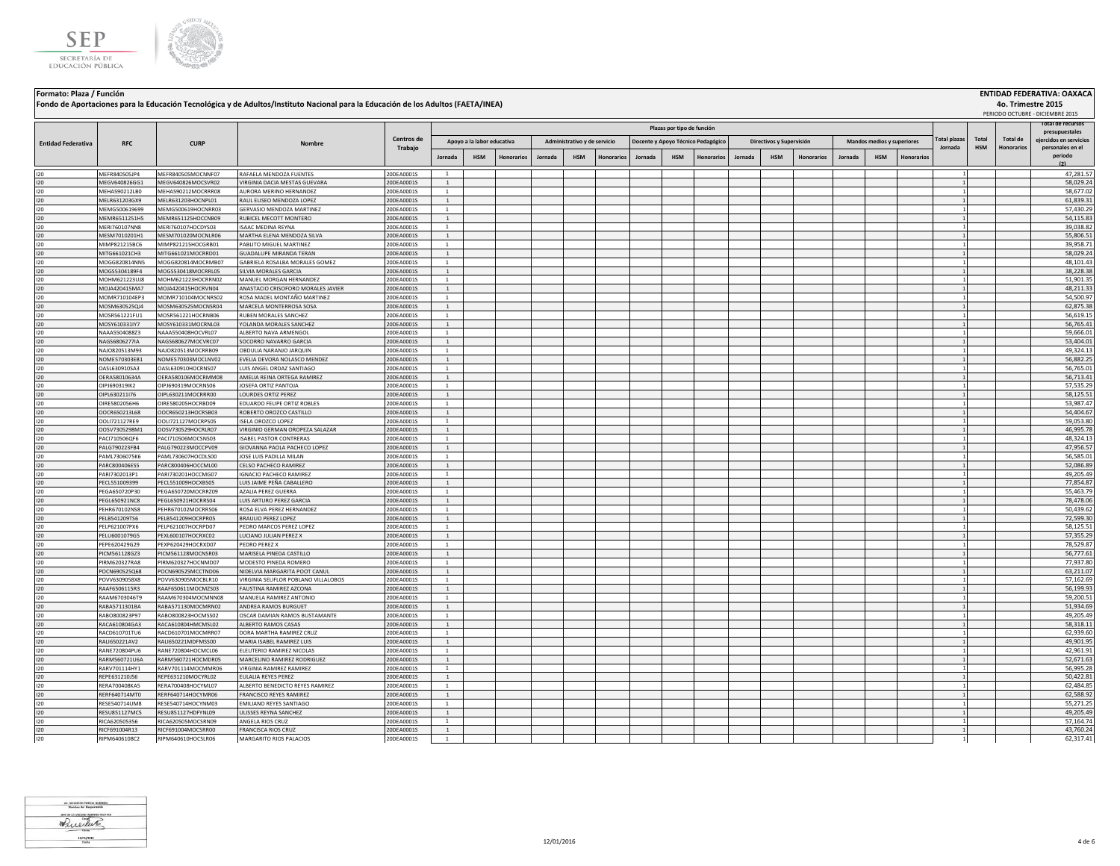



|                           |                                |                                          | Fondo de Aportaciones para la Educación Tecnológica y de Adultos/Instituto Nacional para la Educación de los Adultos (FAETA/INEA) |                          |                                  |                                          |                   |         |                                            |                   |         |                            |                                                         |         |                                        |            |         |                                          |                   |                                |                     | 4o. Trimestre 2015     | PERIODO OCTUBRE - DICIEMBRE 2015                      |
|---------------------------|--------------------------------|------------------------------------------|-----------------------------------------------------------------------------------------------------------------------------------|--------------------------|----------------------------------|------------------------------------------|-------------------|---------|--------------------------------------------|-------------------|---------|----------------------------|---------------------------------------------------------|---------|----------------------------------------|------------|---------|------------------------------------------|-------------------|--------------------------------|---------------------|------------------------|-------------------------------------------------------|
|                           |                                |                                          |                                                                                                                                   |                          |                                  |                                          |                   |         |                                            |                   |         | Plazas por tipo de función |                                                         |         |                                        |            |         |                                          |                   |                                |                     |                        | ital de recursos<br>presupuestales                    |
| <b>Entidad Federativa</b> | <b>RFC</b>                     | <b>CURP</b>                              | Nombre                                                                                                                            | Centros de<br>Trabajo    | Jornada                          | Apoyo a la labor educativa<br><b>HSM</b> | <b>Honorarios</b> | Jornada | Administrativo y de servicio<br><b>HSM</b> | <b>Honorarios</b> | Jornada | <b>HSM</b>                 | Docente y Apoyo Técnico Pedagógico<br><b>Honorarios</b> | Jornada | Directivos y Supervisión<br><b>HSM</b> | Honorarios | Jornada | Mandos medios y superiores<br><b>HSM</b> | <b>Honorarios</b> | <b>Total plazas</b><br>Jornada | Total<br><b>HSM</b> | Total de<br>Honorario: | ejercidos en servicios<br>personales en el<br>periodo |
|                           |                                |                                          |                                                                                                                                   |                          |                                  |                                          |                   |         |                                            |                   |         |                            |                                                         |         |                                        |            |         |                                          |                   |                                |                     |                        | (2)                                                   |
| 120                       | MEFR840505JP4                  | MEFR840505MOCNNF07                       | RAFAELA MENDOZA FUENTES                                                                                                           | 20DEA0001S               | 1                                |                                          |                   |         |                                            |                   |         |                            |                                                         |         |                                        |            |         |                                          |                   |                                |                     |                        | 47,281.57                                             |
| 120                       | MEGV640826GG1                  | MEGV640826MOCSVR02                       | <b>/IRGINIA DACIA MESTAS GUEVARA</b>                                                                                              | 20DEA0001S               | $\overline{1}$                   |                                          |                   |         |                                            |                   |         |                            |                                                         |         |                                        |            |         |                                          |                   |                                |                     |                        | 58,029.24                                             |
| 120<br>120                | MEHA590212LB0<br>MELR631203GX9 | MEHA590212MOCRRR08<br>MELR631203HOCNPL01 | <b>NURORA MERINO HERNANDEZ</b><br>RAUL ELISEO MENDOZA LOPEZ                                                                       | 20DEA0001S<br>20DEA0001S | 1<br><sup>1</sup>                |                                          |                   |         |                                            |                   |         |                            |                                                         |         |                                        |            |         |                                          |                   |                                |                     |                        | 58,677.02<br>61,839.31                                |
| 120                       | MEMG500619699                  | MEMG500619HOCNRR03                       | GERVASIO MENDOZA MARTINEZ                                                                                                         | 20DEA0001S               | <sup>1</sup>                     |                                          |                   |         |                                            |                   |         |                            |                                                         |         |                                        |            |         |                                          |                   |                                |                     |                        | 57,430.29                                             |
| 120                       | MEMR6511251H5                  | MEMR651125HOCCNB09                       | RUBICEL MECOTT MONTERO                                                                                                            | 20DEA0001S               | <sup>1</sup>                     |                                          |                   |         |                                            |                   |         |                            |                                                         |         |                                        |            |         |                                          |                   |                                |                     |                        | 54,115.83                                             |
| 120                       | MERI760107NN8                  | MERI760107HOCDYS03                       | <b>ISAAC MEDINA REYNA</b>                                                                                                         | 20DEA0001S               | <sup>1</sup>                     |                                          |                   |         |                                            |                   |         |                            |                                                         |         |                                        |            |         |                                          |                   |                                |                     |                        | 39,038.82                                             |
| 120                       | MESM7010201H1                  | MESM701020MOCNLR06                       | MARTHA ELENA MENDOZA SILVA                                                                                                        | 20DEA0001S               | $\overline{1}$                   |                                          |                   |         |                                            |                   |         |                            |                                                         |         |                                        |            |         |                                          |                   |                                |                     |                        | 55,806.51                                             |
| 120                       | MIMP821215BC6                  | MIMP821215HOCGRB01                       | PABLITO MIGUEL MARTINEZ                                                                                                           | 20DEA0001S               | $\overline{1}$                   |                                          |                   |         |                                            |                   |         |                            |                                                         |         |                                        |            |         |                                          |                   |                                |                     |                        | 39,958.71                                             |
| 120                       | MITG661021CH3                  | MITG661021MOCRRD01                       | <b>GUADALUPE MIRANDA TERAN</b>                                                                                                    | 20DEA0001S               | $\overline{1}$                   |                                          |                   |         |                                            |                   |         |                            |                                                         |         |                                        |            |         |                                          |                   |                                |                     |                        | 58.029.24                                             |
| 120                       | MOGG820814NN5                  | MOGG820814MOCRMB07                       | GABRIELA ROSALBA MORALES GOMEZ                                                                                                    | 20DEA0001S               | $\overline{1}$                   |                                          |                   |         |                                            |                   |         |                            |                                                         |         |                                        |            |         |                                          |                   |                                |                     |                        | 48,101.43                                             |
| 120                       | MOGS5304189F4                  | MOGS530418MOCRRL05                       | SILVIA MORALES GARCIA                                                                                                             | 20DEA0001S               | <sup>1</sup>                     |                                          |                   |         |                                            |                   |         |                            |                                                         |         |                                        |            |         |                                          |                   |                                |                     |                        | 38,228.38                                             |
| 120                       | MOHM621223UJ8                  | MOHM621223HOCRRN02                       | MANUEL MORGAN HERNANDEZ                                                                                                           | 20DEA0001S               | $\overline{1}$                   |                                          |                   |         |                                            |                   |         |                            |                                                         |         |                                        |            |         |                                          |                   |                                |                     |                        | 51,901.35                                             |
| 120                       | MOJA420415MA7                  | MOJA420415HOCRVN04                       | ANASTACIO CRISOFORO MORALES JAVIER                                                                                                | 20DEA0001S               | $\mathbf{1}$                     |                                          |                   |         |                                            |                   |         |                            |                                                         |         |                                        |            |         |                                          |                   |                                |                     |                        | 48,211.33                                             |
| 120                       | MOMR710104EP3                  | MOMR710104MOCNRS02                       | ROSA MADEL MONTAÑO MARTINEZ                                                                                                       | 20DEA0001S               | <sup>1</sup>                     |                                          |                   |         |                                            |                   |         |                            |                                                         |         |                                        |            |         |                                          |                   |                                |                     |                        | 54,500.97                                             |
| 120                       | MOSM630525QJ4                  | MOSM630525MOCNSR04                       | MARCELA MONTERROSA SOSA                                                                                                           | 20DEA0001S               | $\overline{1}$                   |                                          |                   |         |                                            |                   |         |                            |                                                         |         |                                        |            |         |                                          |                   |                                |                     |                        | 62,875.38                                             |
| 120                       | MOSR561221FU1                  | MOSR561221HOCRNB06                       | RUBEN MORALES SANCHEZ                                                                                                             | 20DEA0001S               | <sup>1</sup>                     |                                          |                   |         |                                            |                   |         |                            |                                                         |         |                                        |            |         |                                          |                   |                                |                     |                        | 56,619.15                                             |
| 120                       | MOSY610331IY7                  | MOSY610331MOCRNL03                       | OLANDA MORALES SANCHEZ                                                                                                            | 20DEA0001S               | <sup>1</sup>                     |                                          |                   |         |                                            |                   |         |                            |                                                         |         |                                        |            |         |                                          |                   |                                |                     |                        | 56,765.41                                             |
| 120                       | NAAA5504088Z3                  | NAAA550408HOCVRL07                       | ALBERTO NAVA ARMENGOL                                                                                                             | 20DEA0001S               | <sup>1</sup>                     |                                          |                   |         |                                            |                   |         |                            |                                                         |         |                                        |            |         |                                          |                   |                                |                     |                        | 59,666.01                                             |
| 120                       | NAGS6806277IA                  | NAGS680627MOCVRC07                       | SOCORRO NAVARRO GARCIA                                                                                                            | 20DEA0001S               | <sup>1</sup>                     |                                          |                   |         |                                            |                   |         |                            |                                                         |         |                                        |            |         |                                          |                   |                                |                     |                        | 53,404.01                                             |
| 120                       | NAJO820513M93                  | NAJO820513MOCRRB09                       | OBDULIA NARANJO JARQUIN                                                                                                           | 20DEA0001S               | $\mathbf{1}$                     |                                          |                   |         |                                            |                   |         |                            |                                                         |         |                                        |            |         |                                          |                   |                                |                     |                        | 49,324.13                                             |
| 120                       | NOME570303EB1                  | NOME570303MOCLNV02                       | EVELIA DEVORA NOLASCO MENDEZ                                                                                                      | 20DEA0001S               | <sup>1</sup><br>$\mathbf{1}$     |                                          |                   |         |                                            |                   |         |                            |                                                         |         |                                        |            |         |                                          |                   |                                |                     |                        | 56,882.25                                             |
| 120<br>120                | OASL630910SA3<br>OERA58010634A | OASL630910HOCRNS07<br>OERA580106MOCRMM08 | LUIS ANGEL ORDAZ SANTIAGO<br>AMELIA REINA ORTEGA RAMIREZ                                                                          | 20DEA0001S<br>20DEA0001S | <sup>1</sup>                     |                                          |                   |         |                                            |                   |         |                            |                                                         |         |                                        |            |         |                                          |                   |                                |                     |                        | 56,765.01<br>56,713.41                                |
| 120                       | OIPJ690319IK2                  | OIPJ690319MOCRNS06                       | JOSEFA ORTIZ PANTOJA                                                                                                              | 20DEA0001S               | $\overline{1}$                   |                                          |                   |         |                                            |                   |         |                            |                                                         |         |                                        |            |         |                                          |                   |                                |                     |                        | 57,535.29                                             |
| 120                       | OIPL630211I76                  | OIPL630211MOCRRR00                       | OURDES ORTIZ PEREZ                                                                                                                | 20DEA0001S               | $\overline{1}$                   |                                          |                   |         |                                            |                   |         |                            |                                                         |         |                                        |            |         |                                          |                   |                                |                     |                        | 58,125.51                                             |
| 120                       | OIRE5802056H6                  | OIRE580205HOCRBD09                       | <b>DUARDO FELIPE ORTIZ ROBLES</b>                                                                                                 | 20DEA0001S               | $\overline{1}$                   |                                          |                   |         |                                            |                   |         |                            |                                                         |         |                                        |            |         |                                          |                   |                                |                     |                        | 53,987.47                                             |
| 120                       | OOCR650213L68                  | OOCR650213HOCRSB03                       | ROBERTO OROZCO CASTILLO                                                                                                           | 20DEA0001S               | $\overline{1}$                   |                                          |                   |         |                                            |                   |         |                            |                                                         |         |                                        |            |         |                                          |                   |                                |                     |                        | 54,404.67                                             |
| 120                       | OOLI721127RE9                  | OOLI721127MOCRPS05                       | <b>ISELA OROZCO LOPEZ</b>                                                                                                         | 20DEA0001S               | $\overline{1}$                   |                                          |                   |         |                                            |                   |         |                            |                                                         |         |                                        |            |         |                                          |                   |                                |                     |                        | 59,053.80                                             |
| 120                       | OOSV7305298M1                  | OOSV730529HOCRLR07                       | VIRGINIO GERMAN OROPEZA SALAZAR                                                                                                   | 20DEA0001S               | $\overline{1}$                   |                                          |                   |         |                                            |                   |         |                            |                                                         |         |                                        |            |         |                                          |                   |                                |                     |                        | 46,995.78                                             |
| 120                       | PACI710506QF6                  | PACI710506MOCSNS03                       | <b>ISABEL PASTOR CONTRERAS</b>                                                                                                    | 20DEA0001S               | <sup>1</sup>                     |                                          |                   |         |                                            |                   |         |                            |                                                         |         |                                        |            |         |                                          |                   |                                |                     |                        | 48,324.13                                             |
| 120                       | PALG790223FB4                  | PALG790223MOCCPV09                       | GIOVANNA PAOLA PACHECO LOPEZ                                                                                                      | 20DEA0001S               | <sup>1</sup>                     |                                          |                   |         |                                            |                   |         |                            |                                                         |         |                                        |            |         |                                          |                   |                                |                     |                        | 47,956.57                                             |
| 120                       | PAML7306075K6                  | AML730607HOCDLS00                        | OSE LUIS PADILLA MILAN                                                                                                            | 20DEA0001S               |                                  |                                          |                   |         |                                            |                   |         |                            |                                                         |         |                                        |            |         |                                          |                   |                                |                     |                        | 56,585.01                                             |
| 120                       | PARC800406ES5                  | ARC800406HOCCML00                        | <b>CELSO PACHECO RAMIREZ</b>                                                                                                      | 20DEA0001S               | $\overline{1}$                   |                                          |                   |         |                                            |                   |         |                            |                                                         |         |                                        |            |         |                                          |                   |                                |                     |                        | 52.086.89                                             |
| 120                       | PARI7302013P1                  | PARI730201HOCCMG07                       | <b>GNACIO PACHECO RAMIREZ</b>                                                                                                     | 20DEA0001S               | 1                                |                                          |                   |         |                                            |                   |         |                            |                                                         |         |                                        |            |         |                                          |                   |                                |                     |                        | 49,205.49                                             |
| 120                       | PECL551009399                  | PECL551009HOCXBS05                       | UIS JAIME PEÑA CABALLERO                                                                                                          | 20DEA0001S               | <sup>1</sup>                     |                                          |                   |         |                                            |                   |         |                            |                                                         |         |                                        |            |         |                                          |                   |                                |                     |                        | 77,854.87                                             |
| 120                       | PEGA650720P30                  | PEGA650720MOCRRZ09                       | AZALIA PEREZ GUERRA                                                                                                               | 20DEA0001S               | <sup>1</sup>                     |                                          |                   |         |                                            |                   |         |                            |                                                         |         |                                        |            |         |                                          |                   |                                |                     |                        | 55,463.79                                             |
| 120                       | PEGL650921NC8                  | PEGL650921HOCRRS04                       | LUIS ARTURO PEREZ GARCIA                                                                                                          | 20DEA0001S               | <sup>1</sup>                     |                                          |                   |         |                                            |                   |         |                            |                                                         |         |                                        |            |         |                                          |                   |                                |                     |                        | 78,478.06                                             |
| 120                       | PEHR670102NS8                  | PEHR670102MOCRRS06                       | ROSA ELVA PEREZ HERNANDEZ                                                                                                         | 20DEA0001S               | $\overline{1}$                   |                                          |                   |         |                                            |                   |         |                            |                                                         |         |                                        |            |         |                                          |                   |                                |                     |                        | 50,439.62                                             |
| 120                       | PELB541209TS6                  | PELB541209HOCRPR05                       | <b>BRAULIO PEREZ LOPEZ</b>                                                                                                        | 20DEA0001S               | $\overline{1}$                   |                                          |                   |         |                                            |                   |         |                            |                                                         |         |                                        |            |         |                                          |                   |                                |                     |                        | 72,599.30                                             |
| 120                       | PELP621007PX6                  | PELP621007HOCRPD07                       | PEDRO MARCOS PEREZ LOPEZ                                                                                                          | 20DEA0001S               | $\mathbf{1}$                     |                                          |                   |         |                                            |                   |         |                            |                                                         |         |                                        |            |         |                                          |                   |                                |                     |                        | 58,125.51                                             |
| 120                       | PELU6001079G5                  | PEXL600107HOCRXC02                       | <b>UCIANO JULIAN PEREZ X</b>                                                                                                      | 20DEA0001S               | $\overline{1}$                   |                                          |                   |         |                                            |                   |         |                            |                                                         |         |                                        |            |         |                                          |                   |                                |                     |                        | 57,355.29                                             |
| 120                       | PEPE620429G29                  | PEXP620429HOCRXD07                       | PEDRO PEREZ X                                                                                                                     | 20DEA0001S               | <sup>1</sup>                     |                                          |                   |         |                                            |                   |         |                            |                                                         |         |                                        |            |         |                                          |                   |                                |                     |                        | 78,529.87                                             |
| 120                       | PICM561128GZ3                  | PICM561128MOCNSR03                       | MARISELA PINEDA CASTILLO                                                                                                          | 20DEA0001S               | $\overline{1}$<br>$\overline{1}$ |                                          |                   |         |                                            |                   |         |                            |                                                         |         |                                        |            |         |                                          |                   |                                |                     |                        | 56,777.61                                             |
| 120<br>120                | PIRM620327RA8<br>POCN690525Q68 | PIRM620327HOCNMD07<br>POCN690525MCCTND06 | MODESTO PINEDA ROMERO<br>NIDELVIA MARGARITA POOT CANUL                                                                            | 20DEA0001S<br>20DEA0001S | $\overline{1}$                   |                                          |                   |         |                                            |                   |         |                            |                                                         |         |                                        |            |         |                                          |                   |                                |                     |                        | 77,937.80<br>63,211.07                                |
| 120                       | POVV6309058X8                  | POVV630905MOCBLR10                       | VIRGINIA SELIFLOR POBLANO VILLALOBOS                                                                                              | 20DEA0001S               |                                  |                                          |                   |         |                                            |                   |         |                            |                                                         |         |                                        |            |         |                                          |                   |                                |                     |                        | 57,162.69                                             |
| 120                       | RAAF6506115R3                  | RAAF650611MOCMZS03                       | FAUSTINA RAMIREZ AZCONA                                                                                                           | 20DEA0001S               | <sup>1</sup>                     |                                          |                   |         |                                            |                   |         |                            |                                                         |         |                                        |            |         |                                          |                   |                                |                     |                        | 56,199.93                                             |
| 120                       | RAAM6703046T9                  | RAAM670304MOCMNN08                       | MANUELA RAMIREZ ANTONIO                                                                                                           | 20DEA0001S               |                                  |                                          |                   |         |                                            |                   |         |                            |                                                         |         |                                        |            |         |                                          |                   |                                |                     |                        | 59,200.51                                             |
| 120                       | RABA5711301BA                  | RABA571130MOCMRN02                       | ANDREA RAMOS BURGUET                                                                                                              | 20DEA0001S               | <sup>1</sup>                     |                                          |                   |         |                                            |                   |         |                            |                                                         |         |                                        |            |         |                                          |                   |                                |                     |                        | 51,934.69                                             |
| 120                       | RABO800823P97                  | RABO800823HOCMSS02                       | OSCAR DAMIAN RAMOS BUSTAMANTE                                                                                                     | 20DEA0001S               | 1                                |                                          |                   |         |                                            |                   |         |                            |                                                         |         |                                        |            |         |                                          |                   |                                |                     |                        | 49,205.49                                             |
| 120                       | RACA610804GA3                  | RACA610804HMCMSL02                       | ALBERTO RAMOS CASAS                                                                                                               | 20DEA0001S               | <sup>1</sup>                     |                                          |                   |         |                                            |                   |         |                            |                                                         |         |                                        |            |         |                                          |                   |                                |                     |                        | 58,318.11                                             |
| 120                       | RACD610701TU6                  | RACD610701MOCMRR07                       | DORA MARTHA RAMIREZ CRUZ                                                                                                          | 20DEA0001S               | <sup>1</sup>                     |                                          |                   |         |                                            |                   |         |                            |                                                         |         |                                        |            |         |                                          |                   |                                |                     |                        | 62.939.60                                             |
| 120                       | RALI650221AV2                  | RALI650221MDFMSS00                       | MARIA ISABEL RAMIREZ LUIS                                                                                                         | 20DEA0001S               | <sup>1</sup>                     |                                          |                   |         |                                            |                   |         |                            |                                                         |         |                                        |            |         |                                          |                   |                                |                     |                        | 49,901.95                                             |
| 120                       | RANE720804PU6                  | RANE720804HOCMCL06                       | ELEUTERIO RAMIREZ NICOLAS                                                                                                         | 20DEA0001S               | 1                                |                                          |                   |         |                                            |                   |         |                            |                                                         |         |                                        |            |         |                                          |                   |                                |                     |                        | 42,961.91                                             |
| 120                       | RARM560721U6A                  | RARM560721HOCMDR05                       | MARCELINO RAMIREZ RODRIGUEZ                                                                                                       | 20DEA0001S               | <sup>1</sup>                     |                                          |                   |         |                                            |                   |         |                            |                                                         |         |                                        |            |         |                                          |                   |                                |                     |                        | 52,671.63                                             |
| 120                       | RARV701114HY1                  | RARV701114MOCMMR06                       | VIRGINIA RAMIREZ RAMIREZ                                                                                                          | 20DEA0001S               | <sup>1</sup>                     |                                          |                   |         |                                            |                   |         |                            |                                                         |         |                                        |            |         |                                          |                   |                                |                     |                        | 56,995.28                                             |
| 120                       | REPE631210J56                  | REPE631210MOCYRL02                       | ULALIA REYES PEREZ                                                                                                                | 20DEA0001S               | $\overline{1}$                   |                                          |                   |         |                                            |                   |         |                            |                                                         |         |                                        |            |         |                                          |                   |                                |                     |                        | 50,422.81                                             |
| 120                       | RERA700408KA5                  | RERA700408HOCYML07                       | ALBERTO BENEDICTO REYES RAMIREZ                                                                                                   | 20DEA0001S               | $\overline{1}$                   |                                          |                   |         |                                            |                   |         |                            |                                                         |         |                                        |            |         |                                          |                   |                                |                     |                        | 62,484.85                                             |
| 120                       | RERF640714MT0                  | RERF640714HOCYMR06                       | FRANCISCO REYES RAMIREZ                                                                                                           | 20DEA0001S               | $\overline{1}$                   |                                          |                   |         |                                            |                   |         |                            |                                                         |         |                                        |            |         |                                          |                   |                                |                     |                        | 62,588.92                                             |
| 120                       | RESE540714UM8                  | RESE540714HOCYNM03                       | EMILIANO REYES SANTIAGO                                                                                                           | 20DEA0001S               | $\overline{1}$                   |                                          |                   |         |                                            |                   |         |                            |                                                         |         |                                        |            |         |                                          |                   |                                |                     |                        | 55,271.25                                             |
| 120                       | RESU851127MC5                  | RESU851127HDFYNL09                       | ULISSES REYNA SANCHEZ                                                                                                             | 20DEA0001S               | $\overline{1}$                   |                                          |                   |         |                                            |                   |         |                            |                                                         |         |                                        |            |         |                                          |                   |                                |                     |                        | 49,205.49                                             |
| 120                       | RICA620505356                  | RICA620505MOCSRN09                       | ANGELA RIOS CRUZ                                                                                                                  | 20DEA0001S               | $\overline{1}$                   |                                          |                   |         |                                            |                   |         |                            |                                                         |         |                                        |            |         |                                          |                   |                                |                     |                        | 57,164.74                                             |
| 120                       | RICF691004R13                  | RICF691004MOCSRR00                       | <b>FRANCISCA RIOS CRUZ</b>                                                                                                        | 20DEA0001S               | <sup>1</sup>                     |                                          |                   |         |                                            |                   |         |                            |                                                         |         |                                        |            |         |                                          |                   |                                |                     |                        | 43,760.24                                             |
| 120                       | RIPM6406108C2                  | RIPM640610HOCSLR06                       | MARGARITO RIOS PALACIOS                                                                                                           | 20DEA0001S               | $\overline{1}$                   |                                          |                   |         |                                            |                   |         |                            |                                                         |         |                                        |            |         |                                          |                   |                                |                     |                        | 62,317.41                                             |

UC, MODESTO PINEDA ROMERO<br>Rombre del Responsable Whichler  $\frac{11/01/2025}{Pedta}$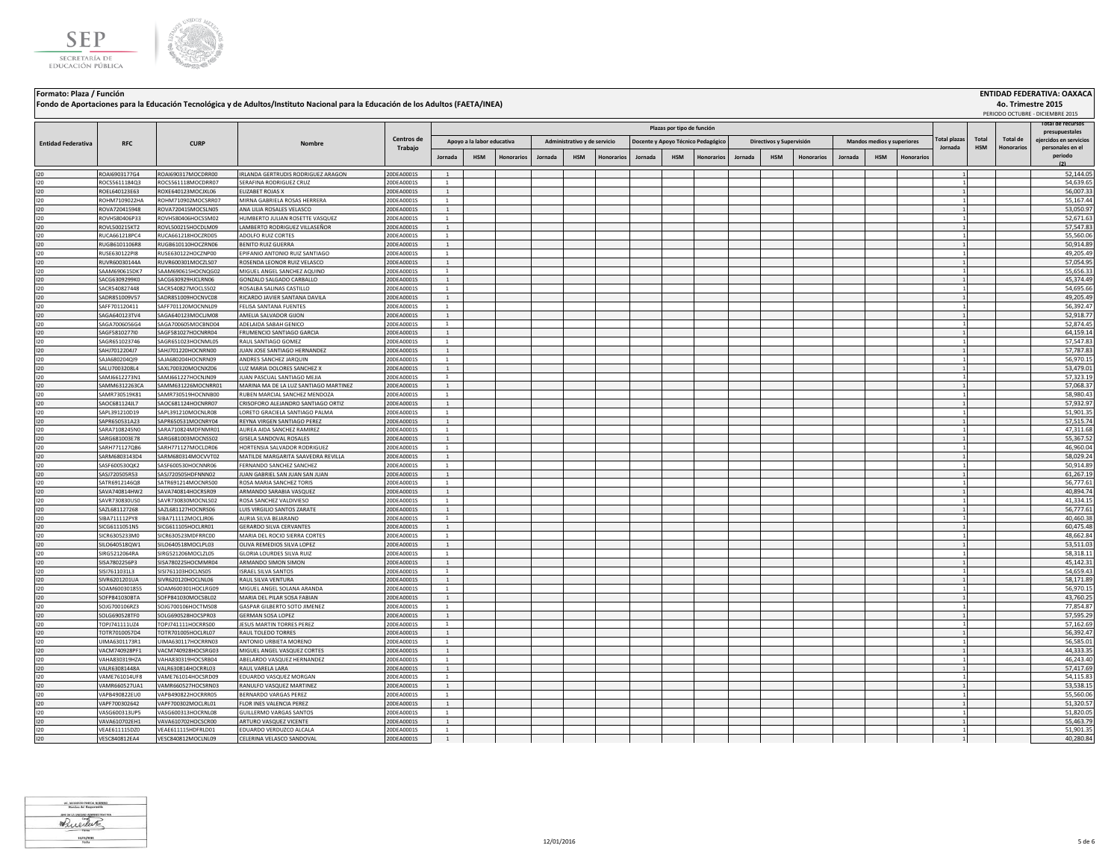



|                           |                                |                                          | Fondo de Aportaciones para la Educación Tecnológica y de Adultos/Instituto Nacional para la Educación de los Adultos (FAETA/INEA) |                          |                                  |                            |            |         |                              |            |                |                            |                                    |         |                          |                   |         |                            |                   |                                |                     | 4o. Trimestre 2015            | PERIODO OCTUBRE - DICIEMBRE 2015           |
|---------------------------|--------------------------------|------------------------------------------|-----------------------------------------------------------------------------------------------------------------------------------|--------------------------|----------------------------------|----------------------------|------------|---------|------------------------------|------------|----------------|----------------------------|------------------------------------|---------|--------------------------|-------------------|---------|----------------------------|-------------------|--------------------------------|---------------------|-------------------------------|--------------------------------------------|
|                           |                                |                                          |                                                                                                                                   |                          |                                  |                            |            |         |                              |            |                | Plazas por tipo de función |                                    |         |                          |                   |         |                            |                   |                                |                     |                               | otal de recursos<br>presupuestales         |
| <b>Entidad Federativa</b> | <b>RFC</b>                     | <b>CURP</b>                              | Nombr                                                                                                                             | Centros de<br>Trabajo    |                                  | Apoyo a la labor educativa |            |         | Administrativo y de servicio |            |                |                            | Docente y Apoyo Técnico Pedagógico |         | Directivos y Supervisión |                   |         | Mandos medios y superiores |                   | <b>Total plazas</b><br>Jornada | Total<br><b>HSM</b> | <b>Total de</b><br>Honorarios | eiercidos en servicios<br>personales en el |
|                           |                                |                                          |                                                                                                                                   |                          | Jornada                          | <b>HSM</b>                 | Honorarios | Jornada | <b>HSM</b>                   | Honorarios | <b>Jornada</b> | <b>HSM</b>                 | <b>Honorarios</b>                  | Jornada | <b>HSM</b>               | <b>Honorarios</b> | Jornada | <b>HSM</b>                 | <b>Honorarios</b> |                                |                     |                               | periodo<br>(2)                             |
| 120                       | ROAI6903177G4                  | ROAI690317MOCDRR00                       | IRLANDA GERTRUDIS RODRIGUEZ ARAGON                                                                                                | 20DEA0001S               | $\overline{1}$                   |                            |            |         |                              |            |                |                            |                                    |         |                          |                   |         |                            |                   |                                |                     |                               | 52.144.05                                  |
| 120                       | ROCS5611184Q3                  | ROCS561118MOCDRR07                       | SERAFINA RODRIGUEZ CRUZ                                                                                                           | 20DEA0001S               | $\overline{1}$                   |                            |            |         |                              |            |                |                            |                                    |         |                          |                   |         |                            |                   |                                |                     |                               | 54,639.65                                  |
| 120                       | ROEL640123E63                  | ROXE640123MOCJXL06                       | <b>FLIZARET ROIAS X</b>                                                                                                           | 20DEA0001S               | $\overline{1}$                   |                            |            |         |                              |            |                |                            |                                    |         |                          |                   |         |                            |                   |                                |                     |                               | 56,007.33                                  |
| 120                       | ROHM7109022HA                  | ROHM710902MOCSRR07                       | MIRNA GABRIELA ROSAS HERRERA                                                                                                      | 20DEA0001S               | $\overline{1}$                   |                            |            |         |                              |            |                |                            |                                    |         |                          |                   |         |                            |                   |                                |                     |                               | 55,167.44                                  |
| 120                       | ROVA720415948                  | ROVA720415MOCSLN05                       | ANA LILIA ROSALES VELASCO                                                                                                         | 20DEA0001S               | $\overline{1}$                   |                            |            |         |                              |            |                |                            |                                    |         |                          |                   |         |                            |                   |                                |                     |                               | 53,050.97                                  |
| 120                       | ROVH580406P33                  | ROVH580406HOCSSM02                       | HUMBERTO JULIAN ROSETTE VASQUEZ                                                                                                   | 20DEA0001S               | <sup>1</sup>                     |                            |            |         |                              |            |                |                            |                                    |         |                          |                   |         |                            |                   |                                |                     |                               | 52,671.63                                  |
| 120                       | ROVL500215KT2                  | ROVL500215HOCDLM09                       | LAMBERTO RODRIGUEZ VILLASEÑOR                                                                                                     | 20DEA0001S               | $\mathbf{1}$                     |                            |            |         |                              |            |                |                            |                                    |         |                          |                   |         |                            |                   |                                |                     |                               | 57,547.83                                  |
| 120                       | RUCA661218PC4                  | RUCA661218HOCZRD05                       | ADOLFO RUIZ CORTES                                                                                                                | 20DEA0001S               | $\mathbf{1}$                     |                            |            |         |                              |            |                |                            |                                    |         |                          |                   |         |                            |                   |                                |                     |                               | 55,560.06                                  |
| 120<br>120                | RUGB6101106R8<br>RUSE630122PI8 | RUGB610110HOCZRN06<br>RUSE630122HOCZNP00 | BENITO RUIZ GUERRA<br>PIFANIO ANTONIO RUIZ SANTIAGO                                                                               | 20DEA0001S<br>20DEA0001S | $\mathbf{1}$                     |                            |            |         |                              |            |                |                            |                                    |         |                          |                   |         |                            |                   |                                |                     |                               | 50,914.89<br>49,205.49                     |
|                           | RUVR60030144A                  | RUVR600301MOCZLS07                       | <b>ROSENDA LEONOR RUIZ VELASCO</b>                                                                                                | 20DEA0001S               | <sup>1</sup>                     |                            |            |         |                              |            |                |                            |                                    |         |                          |                   |         |                            |                   |                                |                     |                               | 57,054.95                                  |
| 120<br>120                | SAAM690615DK7                  | SAAM690615HOCNOG02                       | MIGUEL ANGEL SANCHEZ AOUINO                                                                                                       | 20DEA0001S               | <sup>1</sup>                     |                            |            |         |                              |            |                |                            |                                    |         |                          |                   |         |                            |                   |                                |                     |                               | 55,656.33                                  |
| 120                       | SACG6309299K0                  | SACG630929HICLRN06                       | GONZALO SALGADO CARRALLO                                                                                                          | 20DEA0001S               | <sup>1</sup>                     |                            |            |         |                              |            |                |                            |                                    |         |                          |                   |         |                            |                   |                                |                     |                               | 45,374.49                                  |
| 120                       | SACR540827448                  | SACR540827MOCLSS02                       | ROSALBA SALINAS CASTILLO                                                                                                          | 20DEA0001S               | <sup>1</sup>                     |                            |            |         |                              |            |                |                            |                                    |         |                          |                   |         |                            |                   |                                |                     |                               | 54,695.66                                  |
| 120                       | SADR851009V57                  | SADR851009HOCNVC08                       | RICARDO JAVIER SANTANA DAVILA                                                                                                     | 20DEA0001S               | <sup>1</sup>                     |                            |            |         |                              |            |                |                            |                                    |         |                          |                   |         |                            |                   |                                |                     |                               | 49,205.49                                  |
| 120                       | SAFF701120411                  | SAFF701120MOCNNL09                       | FELISA SANTANA FUENTES                                                                                                            | 20DEA0001S               | $\mathbf{1}$                     |                            |            |         |                              |            |                |                            |                                    |         |                          |                   |         |                            |                   |                                |                     |                               | 56,392.47                                  |
| 120                       | SAGA640123TV4                  | SAGA640123MOCLIM08                       | AMELIA SALVADOR GIJON                                                                                                             | 20DEA0001S               | <sup>1</sup>                     |                            |            |         |                              |            |                |                            |                                    |         |                          |                   |         |                            |                   |                                |                     |                               | 52,918.77                                  |
| 120                       | SAGA7006056G4                  | SAGA700605MOCBND04                       | ADELAIDA SABAH GENICO                                                                                                             | 20DEA0001S               | <sup>1</sup>                     |                            |            |         |                              |            |                |                            |                                    |         |                          |                   |         |                            |                   |                                |                     |                               | 52,874.45                                  |
| 120                       | SAGF5810277I0                  | SAGF581027HOCNRR04                       | FRUMENCIO SANTIAGO GARCIA                                                                                                         | 20DEA0001S               | $\overline{1}$                   |                            |            |         |                              |            |                |                            |                                    |         |                          |                   |         |                            |                   |                                |                     |                               | 64,159.14                                  |
| 120                       | SAGR651023746                  | SAGR651023HOCNML05                       | RAUL SANTIAGO GOMEZ                                                                                                               | 20DEA0001S               | $\mathbf{1}$                     |                            |            |         |                              |            |                |                            |                                    |         |                          |                   |         |                            |                   |                                |                     |                               | 57,547.83                                  |
| 120                       | SAHJ7012204J7                  | SAHJ701220HOCNRN00                       | JUAN JOSE SANTIAGO HERNANDEZ                                                                                                      | 20DEA0001S               | <sup>1</sup>                     |                            |            |         |                              |            |                |                            |                                    |         |                          |                   |         |                            |                   |                                |                     |                               | 57,787.83                                  |
| 120                       | SAJA680204QI9                  | SAJA680204HOCNRN09                       | ANDRES SANCHEZ JAROUIN                                                                                                            | 20DEA0001S               | $\overline{1}$                   |                            |            |         |                              |            |                |                            |                                    |         |                          |                   |         |                            |                   |                                |                     |                               | 56,970.15                                  |
| 120                       | SALU7003208L4                  | SAXL700320MOCNXZ06                       | LUZ MARIA DOLORES SANCHEZ X                                                                                                       | 20DEA0001S               | $\overline{1}$                   |                            |            |         |                              |            |                |                            |                                    |         |                          |                   |         |                            |                   |                                |                     |                               | 53,479.01                                  |
| 120                       | SAMJ6612273N1                  | SAMJ661227HOCNJN09                       | JUAN PASCUAL SANTIAGO MEJIA                                                                                                       | 20DEA0001S               | $\overline{1}$                   |                            |            |         |                              |            |                |                            |                                    |         |                          |                   |         |                            |                   |                                |                     |                               | 57,323.19                                  |
| 120                       | SAMM6312263CA                  | SAMM631226MOCNRR01                       | MARINA MA DE LA LUZ SANTIAGO MARTINEZ                                                                                             | 20DEA0001S               | <sup>1</sup>                     |                            |            |         |                              |            |                |                            |                                    |         |                          |                   |         |                            |                   |                                |                     |                               | 57,068.37                                  |
| 120                       | SAMR730519K81                  | SAMR730519HOCNNB00                       | RUBEN MARCIAL SANCHEZ MENDOZA                                                                                                     | 20DEA0001S               | $\mathbf{1}$                     |                            |            |         |                              |            |                |                            |                                    |         |                          |                   |         |                            |                   |                                |                     |                               | 58,980.43                                  |
| 120                       | SAOC681124JL7                  | SAOC681124HOCNRR07                       | CRISOFORO ALEJANDRO SANTIAGO ORTIZ                                                                                                | 20DEA0001S               | <sup>1</sup>                     |                            |            |         |                              |            |                |                            |                                    |         |                          |                   |         |                            |                   |                                |                     |                               | 57,932.97                                  |
| 120                       | SAPL391210D19                  | SAPL391210MOCNLR08                       | ORETO GRACIELA SANTIAGO PALMA                                                                                                     | 20DEA0001S               | $\mathbf{1}$                     |                            |            |         |                              |            |                |                            |                                    |         |                          |                   |         |                            |                   |                                |                     |                               | 51,901.35                                  |
| 120                       | SAPR650531A23                  | SAPR650531MOCNRY04                       | REYNA VIRGEN SANTIAGO PEREZ                                                                                                       | 20DEA0001S               | <sup>1</sup>                     |                            |            |         |                              |            |                |                            |                                    |         |                          |                   |         |                            |                   |                                |                     |                               | 57,515.74                                  |
| 120                       | SARA7108245N0                  | SARA710824MDFNMR01                       | AUREA AIDA SANCHEZ RAMIREZ                                                                                                        | 20DEA0001S               | 1                                |                            |            |         |                              |            |                |                            |                                    |         |                          |                   |         |                            |                   |                                |                     |                               | 47,311.68                                  |
| 120                       | SARG681003F78                  | SARG681003MOCNSS02                       | GISELA SANDOVAL ROSALES                                                                                                           | 20DEA0001S               | <sup>1</sup>                     |                            |            |         |                              |            |                |                            |                                    |         |                          |                   |         |                            |                   |                                |                     |                               | 55,367.52                                  |
| 120                       | SARH771127QB6                  | SARH771127MOCLDR06                       | HORTENSIA SAI VADOR RODRIGUEZ                                                                                                     | 20DEA0001S               | <sup>1</sup>                     |                            |            |         |                              |            |                |                            |                                    |         |                          |                   |         |                            |                   |                                |                     |                               | 46,960.04                                  |
| 120                       | SARM6803143D4                  | SARM680314MOCVVT02                       | MATILDE MARGARITA SAAVEDRA REVILLA                                                                                                | 20DEA0001S               | <sup>1</sup>                     |                            |            |         |                              |            |                |                            |                                    |         |                          |                   |         |                            |                   |                                |                     |                               | 58,029.24                                  |
| 120                       | SASF600530QK2<br>SASJ720505R53 | SASF600530HOCNNR06<br>SASJ720505HDFNNN02 | FERNANDO SANCHEZ SANCHEZ<br>JUAN GABRIEL SAN JUAN SAN JUAN                                                                        | 20DEA0001S<br>20DEA0001S | <sup>1</sup><br><sup>1</sup>     |                            |            |         |                              |            |                |                            |                                    |         |                          |                   |         |                            |                   |                                |                     |                               | 50,914.89<br>61,267.19                     |
| 120<br>120                | SATR6912146Q8                  | SATR691214MOCNRS00                       | ROSA MARIA SANCHEZ TORIS                                                                                                          | 20DEA0001S               | <sup>1</sup>                     |                            |            |         |                              |            |                |                            |                                    |         |                          |                   |         |                            |                   |                                |                     |                               | 56,777.61                                  |
| 120                       | SAVA740814HW2                  | SAVA740814HOCRSR09                       | ARMANDO SARABIA VASQUEZ                                                                                                           | 20DEA0001S               | $\overline{1}$                   |                            |            |         |                              |            |                |                            |                                    |         |                          |                   |         |                            |                   |                                |                     |                               | 40,894.74                                  |
| 120                       | SAVR730830US0                  | SAVR730830MOCNLS02                       | ROSA SANCHEZ VALDIVIESO                                                                                                           | 20DEA0001S               | <sup>1</sup>                     |                            |            |         |                              |            |                |                            |                                    |         |                          |                   |         |                            |                   |                                |                     |                               | 41,334.15                                  |
| 120                       | SAZL681127268                  | SAZL681127HOCNRS06                       | LUIS VIRGILIO SANTOS ZARATE                                                                                                       | 20DEA0001S               | $\overline{1}$                   |                            |            |         |                              |            |                |                            |                                    |         |                          |                   |         |                            |                   |                                |                     |                               | 56,777.61                                  |
| 120                       | SIBA711112PY8                  | SIBA711112MOCLIR06                       | AURIA SILVA BEIARANO                                                                                                              | 20DEA0001S               | <sup>1</sup>                     |                            |            |         |                              |            |                |                            |                                    |         |                          |                   |         |                            |                   |                                |                     |                               | 40,460.38                                  |
| 120                       | SICG6111051N5                  | SICG611105HOCLRR01                       | <b>GERARDO SILVA CERVANTES</b>                                                                                                    | 20DEA0001S               | $\overline{1}$                   |                            |            |         |                              |            |                |                            |                                    |         |                          |                   |         |                            |                   |                                |                     |                               | 60,475.48                                  |
| 120                       | SICR6305233M0                  | SICR630523MDFRRC00                       | MARIA DEL ROCIO SIERRA CORTES                                                                                                     | 20DEA0001S               | $\overline{1}$                   |                            |            |         |                              |            |                |                            |                                    |         |                          |                   |         |                            |                   |                                |                     |                               | 48,662.84                                  |
| 120                       | SILO640518QW1                  | SILO640518MOCLPL03                       | OLIVA REMEDIOS SILVA LOPEZ                                                                                                        | 20DEA0001S               | <sup>1</sup>                     |                            |            |         |                              |            |                |                            |                                    |         |                          |                   |         |                            |                   |                                |                     |                               | 53,511.03                                  |
| 120                       | SIRG5212064RA                  | SIRG521206MOCLZL05                       | GLORIA LOURDES SILVA RUIZ                                                                                                         | 20DEA0001S               | $\overline{1}$                   |                            |            |         |                              |            |                |                            |                                    |         |                          |                   |         |                            |                   |                                |                     |                               | 58,318.11                                  |
| 120                       | SISA7802256P3                  | SISA780225HOCMMR04                       | ARMANDO SIMON SIMON                                                                                                               | 20DEA0001S               | $\overline{1}$                   |                            |            |         |                              |            |                |                            |                                    |         |                          |                   |         |                            |                   |                                |                     |                               | 45,142.31                                  |
| 120                       | ISI7611031L3                   | SISI761103HOCLNS05                       | <b>ISRAEL SILVA SANTOS</b>                                                                                                        | 20DEA0001S               | $\mathbf{1}$                     |                            |            |         |                              |            |                |                            |                                    |         |                          |                   |         |                            |                   |                                |                     |                               | 54,659.43                                  |
| 120                       | SIVR6201201UA                  | SIVR620120HOCLNL06                       | RAUL SILVA VENTURA                                                                                                                | 20DEA0001S               | $\mathbf{1}$                     |                            |            |         |                              |            |                |                            |                                    |         |                          |                   |         |                            |                   |                                |                     |                               | 58,171.89                                  |
| 120                       | OAM600301855                   | SOAM600301HOCLRG09                       | VIGUEL ANGEL SOLANA ARANDA                                                                                                        | 20DEA0001S               | $\mathbf{1}$                     |                            |            |         |                              |            |                |                            |                                    |         |                          |                   |         |                            |                   |                                |                     |                               | 56,970.15                                  |
| 120                       | SOFP841030BTA                  | SOFP841030MOCSBL02                       | MARIA DEL PILAR SOSA FABIAN                                                                                                       | 20DEA0001S               | <sup>1</sup>                     |                            |            |         |                              |            |                |                            |                                    |         |                          |                   |         |                            |                   |                                |                     |                               | 43,760.25                                  |
| 120                       | SO IG700106R73                 | SOIG700106HOCTMS08                       | GASPAR GILBERTO SOTO IIMENEZ                                                                                                      | 20DEA0001S               | <sup>1</sup>                     |                            |            |         |                              |            |                |                            |                                    |         |                          |                   |         |                            |                   |                                |                     |                               | 77,854.87                                  |
| 120                       | SOLG690528TF0                  | SOLG690528HOCSPR03                       | <b>GERMAN SOSA LOPEZ</b>                                                                                                          | 20DEA0001S               | <sup>1</sup>                     |                            |            |         |                              |            |                |                            |                                    |         |                          |                   |         |                            |                   |                                |                     |                               | 57,595.29                                  |
| 120                       | TOPJ741111UZ4                  | TOPJ741111HOCRRS00                       | <b>JESUS MARTIN TORRES PEREZ</b>                                                                                                  | 20DEA0001S               | <sup>1</sup>                     |                            |            |         |                              |            |                |                            |                                    |         |                          |                   |         |                            |                   |                                |                     |                               | 57,162.69                                  |
| 120                       | TOTR7010057D4                  | TOTR701005HOCLRL07                       | RAUL TOLEDO TORRES                                                                                                                | 20DEA0001S               | $\overline{1}$                   |                            |            |         |                              |            |                |                            |                                    |         |                          |                   |         |                            |                   |                                |                     |                               | 56,392.47                                  |
| 120                       | UIMA6301173R1                  | UIMA630117HOCRRN03                       | ANTONIO URBIETA MORENO                                                                                                            | 20DEA0001S               | $\overline{1}$                   |                            |            |         |                              |            |                |                            |                                    |         |                          |                   |         |                            |                   |                                |                     |                               | 56,585.01                                  |
| 120                       | VACM740928PF1                  | VACM740928HOCSRG03                       | MIGUEL ANGEL VASQUEZ CORTES                                                                                                       | 20DEA0001S               | <sup>1</sup>                     |                            |            |         |                              |            |                |                            |                                    |         |                          |                   |         |                            |                   |                                |                     |                               | 44,333.35                                  |
| 120                       | VAHA830319HZA                  | VAHA830319HOCSRB04                       | ABELARDO VASQUEZ HERNANDEZ                                                                                                        | 20DEA0001S               | $\overline{1}$                   |                            |            |         |                              |            |                |                            |                                    |         |                          |                   |         |                            |                   |                                |                     |                               | 46,243.40                                  |
| 120                       | VALR63081448A                  | VALR630814HOCRRL03                       | RAUL VARELA LARA                                                                                                                  | 20DEA0001S               | $\overline{1}$                   |                            |            |         |                              |            |                |                            |                                    |         |                          |                   |         |                            |                   |                                |                     |                               | 57,417.69                                  |
| 120                       | VAME761014UF8                  | VAME761014HOCSRD09                       | EDUARDO VASQUEZ MORGAN                                                                                                            | 20DEA0001S               | $\overline{1}$                   |                            |            |         |                              |            |                |                            |                                    |         |                          |                   |         |                            |                   |                                |                     |                               | 54,115.83                                  |
| 120                       | VAMR660527UA1                  | VAMR660527HOCSRN03                       | RANULFO VASQUEZ MARTINEZ                                                                                                          | 20DEA0001S               | $\overline{1}$<br>$\overline{1}$ |                            |            |         |                              |            |                |                            |                                    |         |                          |                   |         |                            |                   |                                |                     |                               | 53,538.15                                  |
| 120                       | VAPB490822EU0                  | VAPB490822HOCRRR05                       | BERNARDO VARGAS PEREZ                                                                                                             | 20DEA0001S               | $\overline{1}$                   |                            |            |         |                              |            |                |                            |                                    |         |                          |                   |         |                            |                   |                                |                     |                               | 55,560.06                                  |
| 120                       | VAPF700302642                  | VAPF700302MOCLRL01                       | FLOR INES VALENCIA PEREZ                                                                                                          | 20DEA0001S               | $\overline{1}$                   |                            |            |         |                              |            |                |                            |                                    |         |                          |                   |         |                            |                   |                                |                     |                               | 51,320.57                                  |
| 120<br>120                | /ASG600313UP5<br>VAVA610702EH1 | VASG600313HOCRNL08<br>VAVA610702HOCSCR00 | <b>GUILLERMO VARGAS SANTOS</b><br>ARTURO VASQUEZ VICENTE                                                                          | 20DEA0001S<br>20DEA0001S | $\mathbf{1}$                     |                            |            |         |                              |            |                |                            |                                    |         |                          |                   |         |                            |                   |                                |                     |                               | 51,820.05<br>55,463.79                     |
| 120                       | VEAE611115DZ0                  | VEAE611115HDFRLD01                       | EDUARDO VERDUZCO ALCALA                                                                                                           | 20DEA0001S               | $\mathbf{1}$                     |                            |            |         |                              |            |                |                            |                                    |         |                          |                   |         |                            |                   |                                |                     |                               | 51,901.35                                  |
| 120                       | VESC840812EA4                  | VESC840812MOCLNL09                       | CELERINA VELASCO SANDOVAL                                                                                                         | 20DEA0001S               | $\mathbf{1}$                     |                            |            |         |                              |            |                |                            |                                    |         |                          |                   |         |                            |                   |                                |                     |                               | 40,280.84                                  |
|                           |                                |                                          |                                                                                                                                   |                          |                                  |                            |            |         |                              |            |                |                            |                                    |         |                          |                   |         |                            |                   |                                |                     |                               |                                            |

UC, MODESTO PINEDA ROMERO Whichler  $\frac{11/01/2025}{Fechia}$